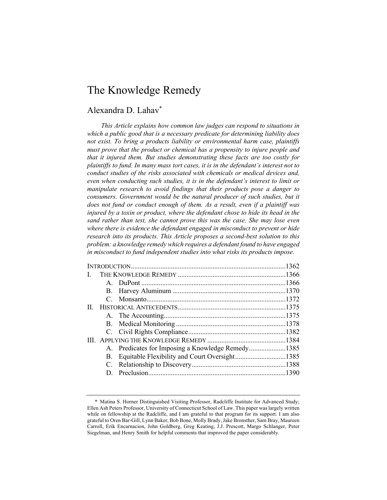# The Knowledge Remedy

# Alexandra D. Lahav\*

*This Article explains how common law judges can respond to situations in which a public good that is a necessary predicate for determining liability does not exist. To bring a products liability or environmental harm case, plaintiffs must prove that the product or chemical has a propensity to injure people and that it injured them. But studies demonstrating these facts are too costly for plaintiffs to fund. In many mass tort cases, it is in the defendant's interest not to conduct studies of the risks associated with chemicals or medical devices and, even when conducting such studies, it is in the defendant's interest to limit or manipulate research to avoid findings that their products pose a danger to consumers. Government would be the natural producer of such studies, but it does not fund or conduct enough of them. As a result, even if a plaintiff was injured by a toxin or product, where the defendant chose to hide its head in the sand rather than test, she cannot prove this was the case. She may lose even where there is evidence the defendant engaged in misconduct to prevent or hide research into its products. This Article proposes a second-best solution to this problem: a knowledge remedy which requires a defendant found to have engaged in misconduct to fund independent studies into what risks its products impose.* 

| L. |           |                                                   |  |
|----|-----------|---------------------------------------------------|--|
|    |           |                                                   |  |
|    |           |                                                   |  |
|    |           |                                                   |  |
| Н. |           |                                                   |  |
|    |           |                                                   |  |
|    |           |                                                   |  |
|    |           |                                                   |  |
|    |           |                                                   |  |
|    |           | A. Predicates for Imposing a Knowledge Remedy1385 |  |
|    | <b>B.</b> |                                                   |  |
|    |           |                                                   |  |
|    |           |                                                   |  |
|    |           |                                                   |  |

<sup>\*</sup> Matina S. Horner Distinguished Visiting Professor, Radcliffe Institute for Advanced Study; Ellen Ash Peters Professor, University of Connecticut School of Law. This paper was largely written while on fellowship at the Radcliffe, and I am grateful to that program for its support. I am also grateful to Oren Bar-Gill, Lynn Baker, Bob Bone, Molly Brady, Jake Bronsther, Sam Bray, Maureen Carroll, Erik Encarnacion, John Goldberg, Greg Keating, J.J. Prescott, Margo Schlanger, Peter Siegelman, and Henry Smith for helpful comments that improved the paper considerably.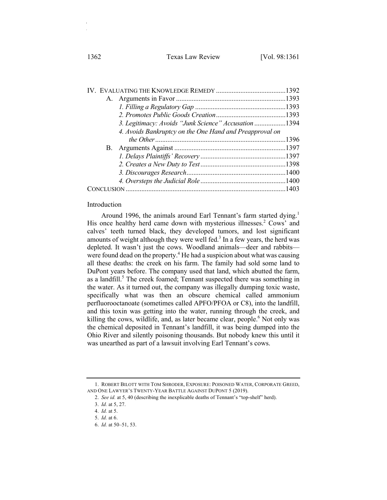1362 Texas Law Review [Vol. 98:1361]

| 3. Legitimacy: Avoids "Junk Science" Accusation 1394    |  |
|---------------------------------------------------------|--|
| 4. Avoids Bankruptcy on the One Hand and Preapproval on |  |
|                                                         |  |
|                                                         |  |
|                                                         |  |
|                                                         |  |
|                                                         |  |
|                                                         |  |
|                                                         |  |
|                                                         |  |

### Introduction

Around 1996, the animals around Earl Tennant's farm started dying.<sup>1</sup> His once healthy herd came down with mysterious illnesses.<sup>2</sup> Cows' and calves' teeth turned black, they developed tumors, and lost significant amounts of weight although they were well fed. $3$  In a few years, the herd was depleted. It wasn't just the cows. Woodland animals—deer and rabbits were found dead on the property.<sup>4</sup> He had a suspicion about what was causing all these deaths: the creek on his farm. The family had sold some land to DuPont years before. The company used that land, which abutted the farm, as a landfill.<sup>5</sup> The creek foamed; Tennant suspected there was something in the water. As it turned out, the company was illegally dumping toxic waste, specifically what was then an obscure chemical called ammonium perfluorooctanoate (sometimes called APFO/PFOA or C8), into the landfill, and this toxin was getting into the water, running through the creek, and killing the cows, wildlife, and, as later became clear, people.<sup>6</sup> Not only was the chemical deposited in Tennant's landfill, it was being dumped into the Ohio River and silently poisoning thousands. But nobody knew this until it was unearthed as part of a lawsuit involving Earl Tennant's cows.

<sup>1.</sup> ROBERT BILOTT WITH TOM SHRODER, EXPOSURE: POISONED WATER, CORPORATE GREED, AND ONE LAWYER'S TWENTY-YEAR BATTLE AGAINST DUPONT 5 (2019).

<sup>2.</sup> *See id.* at 5, 40 (describing the inexplicable deaths of Tennant's "top-shelf" herd).

<sup>3.</sup> *Id.* at 5, 27.

<sup>4.</sup> *Id.* at 5.

<sup>5.</sup> *Id.* at 6.

<sup>6.</sup> *Id.* at 50–51, 53.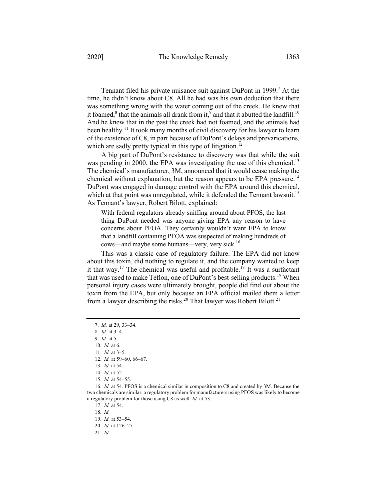Tennant filed his private nuisance suit against DuPont in 1999.<sup>7</sup> At the time, he didn't know about C8. All he had was his own deduction that there was something wrong with the water coming out of the creek. He knew that it foamed, $8$  that the animals all drank from it, $9$  and that it abutted the landfill.<sup>10</sup> And he knew that in the past the creek had not foamed, and the animals had been healthy.<sup>11</sup> It took many months of civil discovery for his lawyer to learn of the existence of C8, in part because of DuPont's delays and prevarications, which are sadly pretty typical in this type of litigation.<sup>12</sup>

A big part of DuPont's resistance to discovery was that while the suit was pending in 2000, the EPA was investigating the use of this chemical.<sup>13</sup> The chemical's manufacturer, 3M, announced that it would cease making the chemical without explanation, but the reason appears to be EPA pressure.<sup>14</sup> DuPont was engaged in damage control with the EPA around this chemical, which at that point was unregulated, while it defended the Tennant lawsuit.<sup>15</sup> As Tennant's lawyer, Robert Bilott, explained:

With federal regulators already sniffing around about PFOS, the last thing DuPont needed was anyone giving EPA any reason to have concerns about PFOA. They certainly wouldn't want EPA to know that a landfill containing PFOA was suspected of making hundreds of cows—and maybe some humans—very, very sick. 16

This was a classic case of regulatory failure. The EPA did not know about this toxin, did nothing to regulate it, and the company wanted to keep it that way.<sup>17</sup> The chemical was useful and profitable.<sup>18</sup> It was a surfactant that was used to make Teflon, one of DuPont's best-selling products.<sup>19</sup> When personal injury cases were ultimately brought, people did find out about the toxin from the EPA, but only because an EPA official mailed them a letter from a lawyer describing the risks.<sup>20</sup> That lawyer was Robert Bilott.<sup>21</sup>

17. *Id.* at 54.

<sup>7.</sup> *Id.* at 29, 33–34.

<sup>8.</sup> *Id.* at 3–4.

<sup>9.</sup> *Id.* at 5.

<sup>10.</sup> *Id.* at 6.

<sup>11.</sup> *Id.* at 3–5.

<sup>12.</sup> *Id.* at 59–60, 66–67.

<sup>13.</sup> *Id.* at 54.

<sup>14.</sup> *Id.* at 52.

<sup>15.</sup> *Id.* at 54–55.

<sup>16.</sup> *Id.* at 54. PFOS is a chemical similar in composition to C8 and created by 3M. Because the two chemicals are similar, a regulatory problem for manufacturers using PFOS was likely to become a regulatory problem for those using C8 as well. *Id.* at 53.

<sup>18.</sup> *Id.*

<sup>19.</sup> *Id.* at 53–54.

<sup>20.</sup> *Id.* at 126–27.

<sup>21.</sup> *Id.*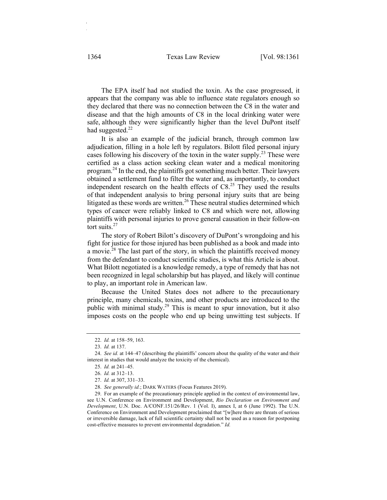The EPA itself had not studied the toxin. As the case progressed, it appears that the company was able to influence state regulators enough so they declared that there was no connection between the C8 in the water and disease and that the high amounts of C8 in the local drinking water were safe, although they were significantly higher than the level DuPont itself had suggested. $^{22}$ 

It is also an example of the judicial branch, through common law adjudication, filling in a hole left by regulators. Bilott filed personal injury cases following his discovery of the toxin in the water supply.23 These were certified as a class action seeking clean water and a medical monitoring program.<sup>24</sup> In the end, the plaintiffs got something much better. Their lawyers obtained a settlement fund to filter the water and, as importantly, to conduct independent research on the health effects of  $\text{C8.}^{25}$  They used the results of that independent analysis to bring personal injury suits that are being litigated as these words are written.<sup>26</sup> These neutral studies determined which types of cancer were reliably linked to C8 and which were not, allowing plaintiffs with personal injuries to prove general causation in their follow-on tort suits. $27$ 

The story of Robert Bilott's discovery of DuPont's wrongdoing and his fight for justice for those injured has been published as a book and made into a movie.<sup>28</sup> The last part of the story, in which the plaintiffs received money from the defendant to conduct scientific studies, is what this Article is about. What Bilott negotiated is a knowledge remedy, a type of remedy that has not been recognized in legal scholarship but has played, and likely will continue to play, an important role in American law.

Because the United States does not adhere to the precautionary principle, many chemicals, toxins, and other products are introduced to the public with minimal study.<sup>29</sup> This is meant to spur innovation, but it also imposes costs on the people who end up being unwitting test subjects. If

<sup>22.</sup> *Id.* at 158–59, 163.

<sup>23.</sup> *Id.* at 137.

<sup>24.</sup> *See id.* at 144–47 (describing the plaintiffs' concern about the quality of the water and their interest in studies that would analyze the toxicity of the chemical).

<sup>25.</sup> *Id.* at 241–45.

<sup>26.</sup> *Id.* at 312–13.

<sup>27.</sup> *Id.* at 307, 331–33.

<sup>28.</sup> *See generally id.*; DARK WATERS (Focus Features 2019).

<sup>29.</sup> For an example of the precautionary principle applied in the context of environmental law, see U.N. Conference on Environment and Development, *Rio Declaration on Environment and Development*, U.N. Doc. A/CONF.151/26/Rev. 1 (Vol. I), annex I, at 6 (June 1992). The U.N. Conference on Environment and Development proclaimed that "[w]here there are threats of serious or irreversible damage, lack of full scientific certainty shall not be used as a reason for postponing cost-effective measures to prevent environmental degradation." *Id.*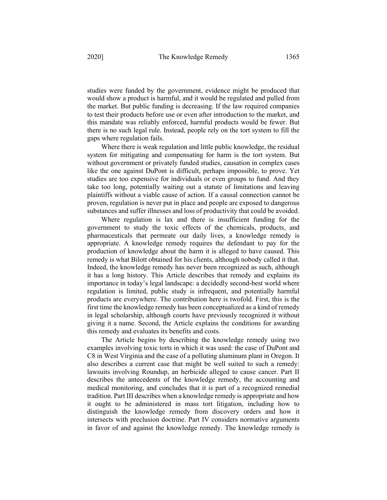studies were funded by the government, evidence might be produced that would show a product is harmful, and it would be regulated and pulled from the market. But public funding is decreasing. If the law required companies to test their products before use or even after introduction to the market, and this mandate was reliably enforced, harmful products would be fewer. But there is no such legal rule. Instead, people rely on the tort system to fill the gaps where regulation fails.

Where there is weak regulation and little public knowledge, the residual system for mitigating and compensating for harm is the tort system. But without government or privately funded studies, causation in complex cases like the one against DuPont is difficult, perhaps impossible, to prove. Yet studies are too expensive for individuals or even groups to fund. And they take too long, potentially waiting out a statute of limitations and leaving plaintiffs without a viable cause of action. If a causal connection cannot be proven, regulation is never put in place and people are exposed to dangerous substances and suffer illnesses and loss of productivity that could be avoided.

Where regulation is lax and there is insufficient funding for the government to study the toxic effects of the chemicals, products, and pharmaceuticals that permeate our daily lives, a knowledge remedy is appropriate. A knowledge remedy requires the defendant to pay for the production of knowledge about the harm it is alleged to have caused. This remedy is what Bilott obtained for his clients, although nobody called it that. Indeed, the knowledge remedy has never been recognized as such, although it has a long history. This Article describes that remedy and explains its importance in today's legal landscape: a decidedly second-best world where regulation is limited, public study is infrequent, and potentially harmful products are everywhere. The contribution here is twofold. First, this is the first time the knowledge remedy has been conceptualized as a kind of remedy in legal scholarship, although courts have previously recognized it without giving it a name. Second, the Article explains the conditions for awarding this remedy and evaluates its benefits and costs.

The Article begins by describing the knowledge remedy using two examples involving toxic torts in which it was used: the case of DuPont and C8 in West Virginia and the case of a polluting aluminum plant in Oregon. It also describes a current case that might be well suited to such a remedy: lawsuits involving Roundup, an herbicide alleged to cause cancer. Part II describes the antecedents of the knowledge remedy, the accounting and medical monitoring, and concludes that it is part of a recognized remedial tradition. Part III describes when a knowledge remedy is appropriate and how it ought to be administered in mass tort litigation, including how to distinguish the knowledge remedy from discovery orders and how it intersects with preclusion doctrine. Part IV considers normative arguments in favor of and against the knowledge remedy. The knowledge remedy is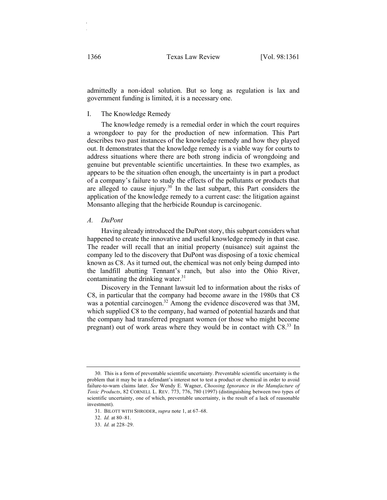admittedly a non-ideal solution. But so long as regulation is lax and government funding is limited, it is a necessary one.

## I. The Knowledge Remedy

The knowledge remedy is a remedial order in which the court requires a wrongdoer to pay for the production of new information. This Part describes two past instances of the knowledge remedy and how they played out. It demonstrates that the knowledge remedy is a viable way for courts to address situations where there are both strong indicia of wrongdoing and genuine but preventable scientific uncertainties. In these two examples, as appears to be the situation often enough, the uncertainty is in part a product of a company's failure to study the effects of the pollutants or products that are alleged to cause injury.<sup>30</sup> In the last subpart, this Part considers the application of the knowledge remedy to a current case: the litigation against Monsanto alleging that the herbicide Roundup is carcinogenic.

## *A. DuPont*

Having already introduced the DuPont story, this subpart considers what happened to create the innovative and useful knowledge remedy in that case. The reader will recall that an initial property (nuisance) suit against the company led to the discovery that DuPont was disposing of a toxic chemical known as C8. As it turned out, the chemical was not only being dumped into the landfill abutting Tennant's ranch, but also into the Ohio River, contaminating the drinking water. $31$ 

Discovery in the Tennant lawsuit led to information about the risks of C8, in particular that the company had become aware in the 1980s that C8 was a potential carcinogen.<sup>32</sup> Among the evidence discovered was that 3M, which supplied C8 to the company, had warned of potential hazards and that the company had transferred pregnant women (or those who might become pregnant) out of work areas where they would be in contact with C8.33 In

<sup>30.</sup> This is a form of preventable scientific uncertainty. Preventable scientific uncertainty is the problem that it may be in a defendant's interest not to test a product or chemical in order to avoid failure-to-warn claims later. *See* Wendy E. Wagner, *Choosing Ignorance in the Manufacture of Toxic Products*, 82 CORNELL L. REV. 773, 776, 780 (1997) (distinguishing between two types of scientific uncertainty, one of which, preventable uncertainty, is the result of a lack of reasonable investment).

<sup>31.</sup> BILOTT WITH SHRODER, *supra* note 1, at 67–68.

<sup>32.</sup> *Id.* at 80–81.

<sup>33.</sup> *Id.* at 228–29.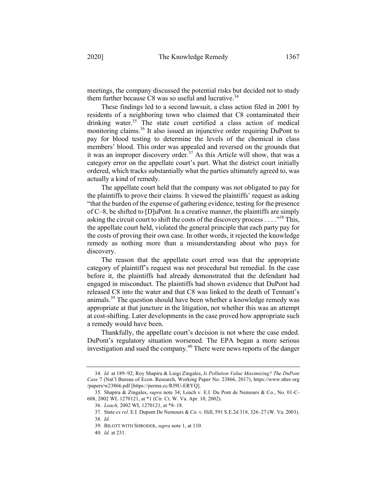meetings, the company discussed the potential risks but decided not to study them further because C8 was so useful and lucrative.<sup>34</sup>

These findings led to a second lawsuit, a class action filed in 2001 by residents of a neighboring town who claimed that C8 contaminated their drinking water.<sup>35</sup> The state court certified a class action of medical monitoring claims.<sup>36</sup> It also issued an injunctive order requiring DuPont to pay for blood testing to determine the levels of the chemical in class members' blood. This order was appealed and reversed on the grounds that it was an improper discovery order.<sup>37</sup> As this Article will show, that was a category error on the appellate court's part. What the district court initially ordered, which tracks substantially what the parties ultimately agreed to, was actually a kind of remedy.

The appellate court held that the company was not obligated to pay for the plaintiffs to prove their claims. It viewed the plaintiffs' request as asking "that the burden of the expense of gathering evidence, testing for the presence of C–8, be shifted to [D]uPont. In a creative manner, the plaintiffs are simply asking the circuit court to shift the costs of the discovery process...."<sup>38</sup> This, the appellate court held, violated the general principle that each party pay for the costs of proving their own case. In other words, it rejected the knowledge remedy as nothing more than a misunderstanding about who pays for discovery.

The reason that the appellate court erred was that the appropriate category of plaintiff's request was not procedural but remedial. In the case before it, the plaintiffs had already demonstrated that the defendant had engaged in misconduct. The plaintiffs had shown evidence that DuPont had released C8 into the water and that C8 was linked to the death of Tennant's animals.39 The question should have been whether a knowledge remedy was appropriate at that juncture in the litigation, not whether this was an attempt at cost-shifting. Later developments in the case proved how appropriate such a remedy would have been.

Thankfully, the appellate court's decision is not where the case ended. DuPont's regulatory situation worsened. The EPA began a more serious investigation and sued the company.<sup>40</sup> There were news reports of the danger

<sup>34.</sup> *Id.* at 189–92; Roy Shapira & Luigi Zingales, *Is Pollution Value Maximizing? The DuPont Case* 7 (Nat'l Bureau of Econ. Research, Working Paper No. 23866, 2017), https://www.nber.org /papers/w23866.pdf [https://perma.cc/RJ9U-ERYQ].

<sup>35.</sup> Shapira & Zingales, *supra* note 34; Leach v. E.I. Du Pont de Nemours & Co., No. 01-C-608, 2002 WL 1270121, at \*1 (Cir. Ct. W. Va. Apr. 10, 2002).

<sup>36.</sup> *Leach*, 2002 WL 1270121, at \*8–18.

<sup>37.</sup> State *ex rel.* E.I. Dupont De Nemours & Co. v. Hill, 591 S.E.2d 318, 326–27 (W. Va. 2003).

<sup>38.</sup> *Id.*

<sup>39.</sup> BILOTT WITH SHRODER, *supra* note 1, at 110.

<sup>40.</sup> *Id.* at 231.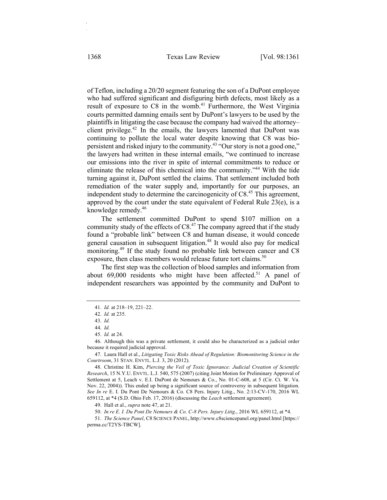of Teflon, including a 20/20 segment featuring the son of a DuPont employee who had suffered significant and disfiguring birth defects, most likely as a result of exposure to C8 in the womb.<sup>41</sup> Furthermore, the West Virginia courts permitted damning emails sent by DuPont's lawyers to be used by the plaintiffs in litigating the case because the company had waived the attorney– client privilege.<sup>42</sup> In the emails, the lawyers lamented that DuPont was continuing to pollute the local water despite knowing that C8 was biopersistent and risked injury to the community.43 "Our story is not a good one," the lawyers had written in these internal emails, "we continued to increase our emissions into the river in spite of internal commitments to reduce or eliminate the release of this chemical into the community."44 With the tide turning against it, DuPont settled the claims. That settlement included both remediation of the water supply and, importantly for our purposes, an independent study to determine the carcinogenicity of C8. <sup>45</sup> This agreement, approved by the court under the state equivalent of Federal Rule  $23(e)$ , is a knowledge remedy. 46

The settlement committed DuPont to spend \$107 million on a community study of the effects of  $C8<sup>47</sup>$  The company agreed that if the study found a "probable link" between C8 and human disease, it would concede general causation in subsequent litigation.<sup>48</sup> It would also pay for medical monitoring.<sup>49</sup> If the study found no probable link between cancer and C8 exposure, then class members would release future tort claims.<sup>50</sup>

The first step was the collection of blood samples and information from about  $69,000$  residents who might have been affected.<sup>51</sup> A panel of independent researchers was appointed by the community and DuPont to

<sup>41.</sup> *Id.* at 218–19, 221–22.

<sup>42.</sup> *Id.* at 235.

<sup>43.</sup> *Id.*

<sup>44.</sup> *Id.*

<sup>45.</sup> *Id.* at 24.

<sup>46.</sup> Although this was a private settlement, it could also be characterized as a judicial order because it required judicial approval.

<sup>47.</sup> Laura Hall et al., *Litigating Toxic Risks Ahead of Regulation: Biomonitoring Science in the Courtroom*, 31 STAN. ENVTL. L.J. 3, 20 (2012).

<sup>48.</sup> Christine H. Kim, *Piercing the Veil of Toxic Ignorance: Judicial Creation of Scientific Research*, 15 N.Y.U. ENVTL. L.J. 540, 575 (2007) (citing Joint Motion for Preliminary Approval of Settlement at 5, Leach v. E.I. DuPont de Nemours & Co., No. 01-C-608, at 5 (Cir. Ct. W. Va. Nov. 22, 2004)). This ended up being a significant source of controversy in subsequent litigation. *See In re* E. I. Du Pont De Nemours & Co. C8 Pers. Injury Litig., No. 2:13-CV-170, 2016 WL 659112, at \*4 (S.D. Ohio Feb. 17, 2016) (discussing the *Leach* settlement agreement).

<sup>49.</sup> Hall et al., *supra* note 47, at 21.

<sup>50.</sup> *In re E. I. Du Pont De Nemours & Co. C-8 Pers. Injury Litig*., 2016 WL 659112, at \*4.

<sup>51.</sup> *The Science Panel*, C8 SCIENCE PANEL, http://www.c8sciencepanel.org/panel.html [https:// perma.cc/T2YS-TBCW].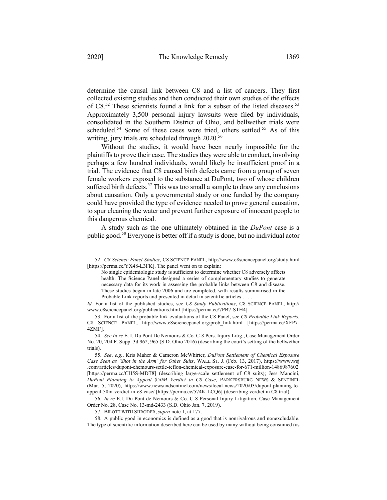determine the causal link between C8 and a list of cancers. They first collected existing studies and then conducted their own studies of the effects of C8.<sup>52</sup> These scientists found a link for a subset of the listed diseases.<sup>53</sup> Approximately 3,500 personal injury lawsuits were filed by individuals, consolidated in the Southern District of Ohio, and bellwether trials were scheduled.<sup>54</sup> Some of these cases were tried, others settled.<sup>55</sup> As of this writing, jury trials are scheduled through  $2020$ <sup>56</sup>

Without the studies, it would have been nearly impossible for the plaintiffs to prove their case. The studies they were able to conduct, involving perhaps a few hundred individuals, would likely be insufficient proof in a trial. The evidence that C8 caused birth defects came from a group of seven female workers exposed to the substance at DuPont, two of whose children suffered birth defects.<sup>57</sup> This was too small a sample to draw any conclusions about causation. Only a governmental study or one funded by the company could have provided the type of evidence needed to prove general causation, to spur cleaning the water and prevent further exposure of innocent people to this dangerous chemical.

A study such as the one ultimately obtained in the *DuPont* case is a public good.<sup>58</sup> Everyone is better off if a study is done, but no individual actor

<sup>52.</sup> *C8 Science Panel Studies*, C8 SCIENCE PANEL, http://www.c8sciencepanel.org/study.html [https://perma.cc/YX48-L3FK]. The panel went on to explain:

No single epidemiologic study is sufficient to determine whether C8 adversely affects health. The Science Panel designed a series of complementary studies to generate necessary data for its work in assessing the probable links between C8 and disease. These studies began in late 2006 and are completed, with results summarised in the Probable Link reports and presented in detail in scientific articles . . . .

*Id.* For a list of the published studies, see *C8 Study Publications*, C8 SCIENCE PANEL, http:// www.c8sciencepanel.org/publications.html [https://perma.cc/7PB7-STH4].

<sup>53.</sup> For a list of the probable link evaluations of the C8 Panel, see *C8 Probable Link Reports*, C8 SCIENCE PANEL, http://www.c8sciencepanel.org/prob\_link.html [https://perma.cc/XFP7- 4ZMF].

<sup>54.</sup> *See In re* E. I. Du Pont De Nemours & Co. C-8 Pers. Injury Litig., Case Management Order No. 20, 204 F. Supp. 3d 962, 965 (S.D. Ohio 2016) (describing the court's setting of the bellwether trials).

<sup>55.</sup> *See*, *e.g.*, Kris Maher & Cameron McWhirter, *DuPont Settlement of Chemical Exposure Case Seen as 'Shot in the Arm' for Other Suits*, WALL ST. J. (Feb. 13, 2017), https://www.wsj .com/articles/dupont-chemours-settle-teflon-chemical-exposure-case-for-671-million-1486987602 [https://perma.cc/CH5S-MDT8] (describing large-scale settlement of C8 suits); Jess Mancini, *DuPont Planning to Appeal \$50M Verdict in C8 Case*, PARKERSBURG NEWS & SENTINEL (Mar. 5, 2020), https://www.newsandsentinel.com/news/local-news/2020/03/dupont-planning-toappeal-50m-verdict-in-c8-case/ [https://perma.cc/574K-LCQ6] (describing verdict in C8 trial).

<sup>56.</sup> *In re* E.I. Du Pont de Nemours & Co. C-8 Personal Injury Litigation, Case Management Order No. 28, Case No. 13-md-2433 (S.D. Ohio Jan. 7, 2019).

<sup>57.</sup> BILOTT WITH SHRODER, *supra* note 1, at 177.

<sup>58.</sup> A public good in economics is defined as a good that is nonrivalrous and nonexcludable. The type of scientific information described here can be used by many without being consumed (as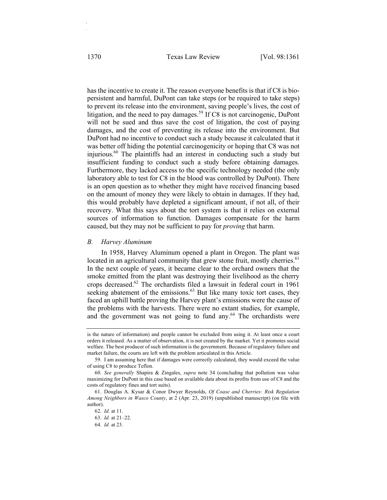has the incentive to create it. The reason everyone benefits is that if C8 is biopersistent and harmful, DuPont can take steps (or be required to take steps) to prevent its release into the environment, saving people's lives, the cost of litigation, and the need to pay damages.<sup>59</sup> If C8 is not carcinogenic, DuPont will not be sued and thus save the cost of litigation, the cost of paying damages, and the cost of preventing its release into the environment. But DuPont had no incentive to conduct such a study because it calculated that it was better off hiding the potential carcinogenicity or hoping that C8 was not injurious.<sup>60</sup> The plaintiffs had an interest in conducting such a study but insufficient funding to conduct such a study before obtaining damages. Furthermore, they lacked access to the specific technology needed (the only laboratory able to test for C8 in the blood was controlled by DuPont). There is an open question as to whether they might have received financing based on the amount of money they were likely to obtain in damages. If they had, this would probably have depleted a significant amount, if not all, of their recovery. What this says about the tort system is that it relies on external sources of information to function. Damages compensate for the harm caused, but they may not be sufficient to pay for *proving* that harm.

#### *B. Harvey Aluminum*

In 1958, Harvey Aluminum opened a plant in Oregon. The plant was located in an agricultural community that grew stone fruit, mostly cherries.<sup>61</sup> In the next couple of years, it became clear to the orchard owners that the smoke emitted from the plant was destroying their livelihood as the cherry crops decreased.62 The orchardists filed a lawsuit in federal court in 1961 seeking abatement of the emissions.<sup>63</sup> But like many toxic tort cases, they faced an uphill battle proving the Harvey plant's emissions were the cause of the problems with the harvests. There were no extant studies, for example, and the government was not going to fund any.<sup>64</sup> The orchardists were

is the nature of information) and people cannot be excluded from using it. At least once a court orders it released. As a matter of observation, it is not created by the market. Yet it promotes social welfare. The best producer of such information is the government. Because of regulatory failure and market failure, the courts are left with the problem articulated in this Article.

<sup>59.</sup> I am assuming here that if damages were correctly calculated, they would exceed the value of using C8 to produce Teflon.

<sup>60.</sup> *See generally* Shapira & Zingales, *supra* note 34 (concluding that pollution was value maximizing for DuPont in this case based on available data about its profits from use of C8 and the costs of regulatory fines and tort suits).

<sup>61.</sup> Douglas A. Kysar & Conor Dwyer Reynolds, *Of Coase and Cherries: Risk Regulation Among Neighbors in Wasco County*, at 2 (Apr. 23, 2019) (unpublished manuscript) (on file with author).

<sup>62.</sup> *Id.* at 11.

<sup>63.</sup> *Id.* at 21–22.

<sup>64.</sup> *Id.* at 23.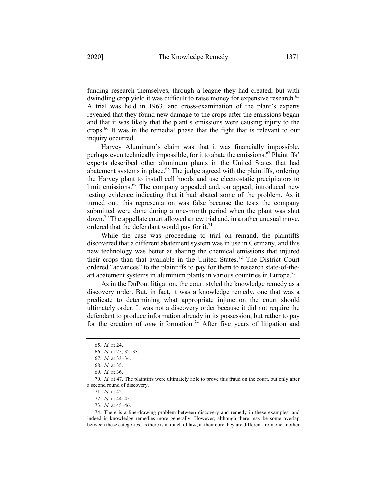funding research themselves, through a league they had created, but with dwindling crop yield it was difficult to raise money for expensive research.<sup>65</sup> A trial was held in 1963, and cross-examination of the plant's experts revealed that they found new damage to the crops after the emissions began and that it was likely that the plant's emissions were causing injury to the crops.<sup>66</sup> It was in the remedial phase that the fight that is relevant to our inquiry occurred.

Harvey Aluminum's claim was that it was financially impossible, perhaps even technically impossible, for it to abate the emissions.<sup>67</sup> Plaintiffs' experts described other aluminum plants in the United States that had abatement systems in place. $68$  The judge agreed with the plaintiffs, ordering the Harvey plant to install cell hoods and use electrostatic precipitators to limit emissions.<sup>69</sup> The company appealed and, on appeal, introduced new testing evidence indicating that it had abated some of the problem. As it turned out, this representation was false because the tests the company submitted were done during a one-month period when the plant was shut  $down.^{70}$  The appellate court allowed a new trial and, in a rather unusual move, ordered that the defendant would pay for it.<sup>71</sup>

While the case was proceeding to trial on remand, the plaintiffs discovered that a different abatement system was in use in Germany, and this new technology was better at abating the chemical emissions that injured their crops than that available in the United States.<sup>72</sup> The District Court ordered "advances" to the plaintiffs to pay for them to research state-of-theart abatement systems in aluminum plants in various countries in Europe.<sup>73</sup>

As in the DuPont litigation, the court styled the knowledge remedy as a discovery order. But, in fact, it was a knowledge remedy, one that was a predicate to determining what appropriate injunction the court should ultimately order. It was not a discovery order because it did not require the defendant to produce information already in its possession, but rather to pay for the creation of *new* information.<sup>74</sup> After five years of litigation and

<sup>65.</sup> *Id.* at 24.

<sup>66.</sup> *Id.* at 25, 32–33.

<sup>67.</sup> *Id.* at 33–34.

<sup>68.</sup> *Id.* at 35.

<sup>69.</sup> *Id.* at 36.

<sup>70.</sup> *Id.* at 47. The plaintiffs were ultimately able to prove this fraud on the court, but only after a second round of discovery.

<sup>71.</sup> *Id.* at 42.

<sup>72.</sup> *Id.* at 44–45.

<sup>73.</sup> *Id.* at 45–46.

<sup>74.</sup> There is a line-drawing problem between discovery and remedy in these examples, and indeed in knowledge remedies more generally. However, although there may be some overlap between these categories, as there is in much of law, at their core they are different from one another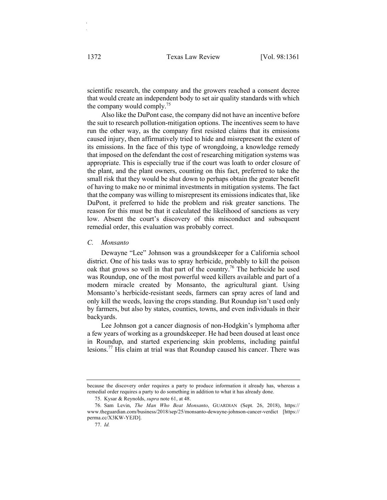scientific research, the company and the growers reached a consent decree that would create an independent body to set air quality standards with which the company would comply.<sup>75</sup>

Also like the DuPont case, the company did not have an incentive before the suit to research pollution-mitigation options. The incentives seem to have run the other way, as the company first resisted claims that its emissions caused injury, then affirmatively tried to hide and misrepresent the extent of its emissions. In the face of this type of wrongdoing, a knowledge remedy that imposed on the defendant the cost of researching mitigation systems was appropriate. This is especially true if the court was loath to order closure of the plant, and the plant owners, counting on this fact, preferred to take the small risk that they would be shut down to perhaps obtain the greater benefit of having to make no or minimal investments in mitigation systems. The fact that the company was willing to misrepresent its emissions indicates that, like DuPont, it preferred to hide the problem and risk greater sanctions. The reason for this must be that it calculated the likelihood of sanctions as very low. Absent the court's discovery of this misconduct and subsequent remedial order, this evaluation was probably correct.

### *C. Monsanto*

Dewayne "Lee" Johnson was a groundskeeper for a California school district. One of his tasks was to spray herbicide, probably to kill the poison oak that grows so well in that part of the country.<sup>76</sup> The herbicide he used was Roundup, one of the most powerful weed killers available and part of a modern miracle created by Monsanto, the agricultural giant. Using Monsanto's herbicide-resistant seeds, farmers can spray acres of land and only kill the weeds, leaving the crops standing. But Roundup isn't used only by farmers, but also by states, counties, towns, and even individuals in their backyards.

Lee Johnson got a cancer diagnosis of non-Hodgkin's lymphoma after a few years of working as a groundskeeper. He had been doused at least once in Roundup, and started experiencing skin problems, including painful lesions.<sup>77</sup> His claim at trial was that Roundup caused his cancer. There was

because the discovery order requires a party to produce information it already has, whereas a remedial order requires a party to do something in addition to what it has already done.

<sup>75.</sup> Kysar & Reynolds, *supra* note 61, at 48.

<sup>76.</sup> Sam Levin, *The Man Who Beat Monsanto*, GUARDIAN (Sept. 26, 2018), https:// www.theguardian.com/business/2018/sep/25/monsanto-dewayne-johnson-cancer-verdict [https:// perma.cc/X3KW-YEJD].

<sup>77.</sup> *Id.*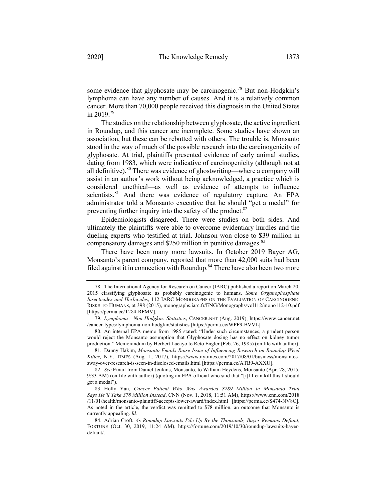some evidence that glyphosate may be carcinogenic.<sup>78</sup> But non-Hodgkin's lymphoma can have any number of causes. And it is a relatively common cancer. More than 70,000 people received this diagnosis in the United States in 2019. 79

The studies on the relationship between glyphosate, the active ingredient in Roundup, and this cancer are incomplete. Some studies have shown an association, but these can be rebutted with others. The trouble is, Monsanto stood in the way of much of the possible research into the carcinogenicity of glyphosate. At trial, plaintiffs presented evidence of early animal studies, dating from 1983, which were indicative of carcinogenicity (although not at all definitive). $80$  There was evidence of ghostwriting—where a company will assist in an author's work without being acknowledged, a practice which is considered unethical—as well as evidence of attempts to influence scientists.<sup>81</sup> And there was evidence of regulatory capture. An EPA administrator told a Monsanto executive that he should "get a medal" for preventing further inquiry into the safety of the product.<sup>82</sup>

Epidemiologists disagreed. There were studies on both sides. And ultimately the plaintiffs were able to overcome evidentiary hurdles and the dueling experts who testified at trial. Johnson won close to \$39 million in compensatory damages and \$250 million in punitive damages.<sup>83</sup>

There have been many more lawsuits. In October 2019 Bayer AG, Monsanto's parent company, reported that more than 42,000 suits had been filed against it in connection with Roundup.<sup>84</sup> There have also been two more

<sup>78.</sup> The International Agency for Research on Cancer (IARC) published a report on March 20, 2015 classifying glyphosate as probably carcinogenic to humans. *Some Organophosphate Insecticides and Herbicides*, 112 IARC MONOGRAPHS ON THE EVALUATION OF CARCINOGENIC RISKS TO HUMANS, at 398 (2015), monographs.iarc.fr/ENG/Monographs/vol112/mono112-10.pdf [https://perma.cc/T284-RFMV].

<sup>79.</sup> *Lymphoma - Non-Hodgkin: Statistics*, CANCER.NET (Aug. 2019), https://www.cancer.net /cancer-types/lymphoma-non-hodgkin/statistics [https://perma.cc/WPF9-BVVL].

<sup>80.</sup> An internal EPA memo from 1985 stated: "Under such circumstances, a prudent person would reject the Monsanto assumption that Glyphosate dosing has no effect on kidney tumor production." Memorandum by Herbert Lacayo to Reto Engler (Feb. 26, 1985) (on file with author).

<sup>81.</sup> Danny Hakim, *Monsanto Emails Raise Issue of Influencing Research on Roundup Weed Killer*, N.Y. TIMES (Aug. 1, 2017), https://www.nytimes.com/2017/08/01/business/monsantossway-over-research-is-seen-in-disclosed-emails.html [https://perma.cc/ATB9-AXXU].

<sup>82.</sup> *See* Email from Daniel Jenkins, Monsanto, to William Heydens, Monsanto (Apr. 28, 2015, 9:33 AM) (on file with author) (quoting an EPA official who said that "[i]f I can kill this I should get a medal").

<sup>83.</sup> Holly Yan, *Cancer Patient Who Was Awarded \$289 Million in Monsanto Trial Says He'll Take \$78 Million Instead*, CNN (Nov. 1, 2018, 11:51 AM), https://www.cnn.com/2018 /11/01/health/monsanto-plaintiff-accepts-lower-award/index.html [https://perma.cc/S474-NV8C]. As noted in the article, the verdict was remitted to \$78 million, an outcome that Monsanto is currently appealing. *Id.*

<sup>84.</sup> Adrian Croft, *As Roundup Lawsuits Pile Up By the Thousands, Bayer Remains Defiant*, FORTUNE (Oct. 30, 2019, 11:24 AM), https://fortune.com/2019/10/30/roundup-lawsuits-bayerdefiant/.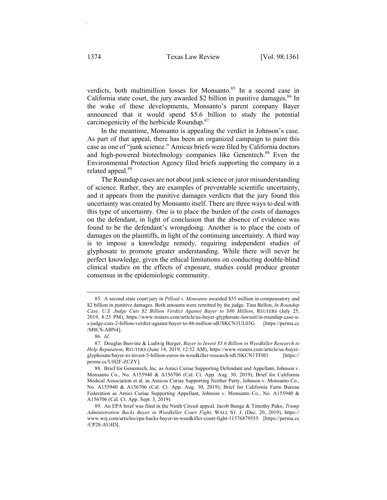verdicts, both multimillion losses for Monsanto.<sup>85</sup> In a second case in California state court, the jury awarded \$2 billion in punitive damages.<sup>86</sup> In the wake of these developments, Monsanto's parent company Bayer announced that it would spend \$5.6 billion to study the potential carcinogenicity of the herbicide Roundup.<sup>87</sup>

In the meantime, Monsanto is appealing the verdict in Johnson's case. As part of that appeal, there has been an organized campaign to paint this case as one of "junk science." Amicus briefs were filed by California doctors and high-powered biotechnology companies like Genentech.<sup>88</sup> Even the Environmental Protection Agency filed briefs supporting the company in a related appeal.<sup>89</sup>

The Roundup cases are not about junk science or juror misunderstanding of science. Rather, they are examples of preventable scientific uncertainty, and it appears from the punitive damages verdicts that the jury found this uncertainty was created by Monsanto itself. There are three ways to deal with this type of uncertainty. One is to place the burden of the costs of damages on the defendant, in light of conclusion that the absence of evidence was found to be the defendant's wrongdoing. Another is to place the costs of damages on the plaintiffs, in light of the continuing uncertainty. A third way is to impose a knowledge remedy, requiring independent studies of glyphosate to promote greater understanding. While there will never be perfect knowledge, given the ethical limitations on conducting double-blind clinical studies on the effects of exposure, studies could produce greater consensus in the epidemiologic community.

<sup>85.</sup> A second state court jury in *Pilloid v. Monsanto* awarded \$55 million in compensatory and \$2 billion in punitive damages. Both amounts were remitted by the judge. Tina Bellon, *In Roundup Case, U.S. Judge Cuts \$2 Billion Verdict Against Bayer to \$86 Million*, REUTERS (July 25, 2019, 8:25 PM), https://www.reuters.com/article/us-bayer-glyphosate-lawsuit/in-roundup-case-us-judge-cuts-2-billion-verdict-against-bayer-to-86-million-idUSKCN1UL03G [https://perma.cc /M8CS-ABN4].

<sup>86.</sup> *Id.*

<sup>87.</sup> Douglas Busvine & Ludwig Burger, *Bayer to Invest \$5.6 Billion in Weedkiller Research to Help Reputation*, REUTERS (June 14, 2019, 12:52 AM), https://www.reuters.com/article/us-bayerglyphosate/bayer-to-invest-5-billion-euros-in-weedkiller-research-idUSKCN1TF0I1 [https:// perma.cc/UH2F-ZCZY].

<sup>88.</sup> Brief for Genentech, Inc. as Amici Curiae Supporting Defendant and Appellant, Johnson v. Monsanto Co., No. A155940 & A156706 (Cal. Ct. App. Aug. 30, 2019); Brief for California Medical Association et al. as Amicus Curiae Supporting Neither Party, Johnson v. Monsanto Co., No. A155940 & A156706 (Cal. Ct. App. Aug. 30, 2019); Brief for California Farm Bureau Federation as Amici Curiae Supporting Appellant, Johnson v. Monsanto Co., No. A155940 & A156706 (Cal. Ct. App. Sept. 3, 2019).

<sup>89.</sup> An EPA brief was filed in the Ninth Circuit appeal. Jacob Bunge & Timothy Puko, *Trump Administration Backs Bayer in Weedkiller Court Fight*, WALL ST. J. (Dec. 20, 2019), https:// www.wsj.com/articles/epa-backs-bayer-in-weedkiller-court-fight-11576879555 [https://perma.cc /CP28-AU4D].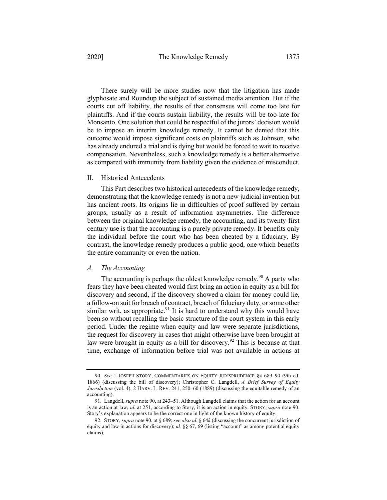There surely will be more studies now that the litigation has made glyphosate and Roundup the subject of sustained media attention. But if the courts cut off liability, the results of that consensus will come too late for plaintiffs. And if the courts sustain liability, the results will be too late for Monsanto. One solution that could be respectful of the jurors' decision would be to impose an interim knowledge remedy. It cannot be denied that this outcome would impose significant costs on plaintiffs such as Johnson, who has already endured a trial and is dying but would be forced to wait to receive compensation. Nevertheless, such a knowledge remedy is a better alternative as compared with immunity from liability given the evidence of misconduct.

#### II. Historical Antecedents

This Part describes two historical antecedents of the knowledge remedy, demonstrating that the knowledge remedy is not a new judicial invention but has ancient roots. Its origins lie in difficulties of proof suffered by certain groups, usually as a result of information asymmetries. The difference between the original knowledge remedy, the accounting, and its twenty-first century use is that the accounting is a purely private remedy. It benefits only the individual before the court who has been cheated by a fiduciary. By contrast, the knowledge remedy produces a public good, one which benefits the entire community or even the nation.

#### *A. The Accounting*

The accounting is perhaps the oldest knowledge remedy.<sup>90</sup> A party who fears they have been cheated would first bring an action in equity as a bill for discovery and second, if the discovery showed a claim for money could lie, a follow-on suit for breach of contract, breach of fiduciary duty, or some other similar writ, as appropriate.<sup>91</sup> It is hard to understand why this would have been so without recalling the basic structure of the court system in this early period. Under the regime when equity and law were separate jurisdictions, the request for discovery in cases that might otherwise have been brought at law were brought in equity as a bill for discovery.<sup>92</sup> This is because at that time, exchange of information before trial was not available in actions at

<sup>90.</sup> *See* 1 JOSEPH STORY, COMMENTARIES ON EQUITY JURISPRUDENCE §§ 689–90 (9th ed. 1866) (discussing the bill of discovery); Christopher C. Langdell, *A Brief Survey of Equity Jurisdiction* (vol. 4), 2 HARV. L. REV. 241, 250–60 (1889) (discussing the equitable remedy of an accounting).

<sup>91.</sup> Langdell, *supra* note 90, at 243–51. Although Langdell claims that the action for an account is an action at law, *id.* at 251, according to Story, it is an action in equity. STORY, *supra* note 90. Story's explanation appears to be the correct one in light of the known history of equity.

<sup>92.</sup> STORY, *supra* note 90, at § 689; *see also id.* § 64*k* (discussing the concurrent jurisdiction of equity and law in actions for discovery); *id.* §§ 67, 69 (listing "account" as among potential equity claims).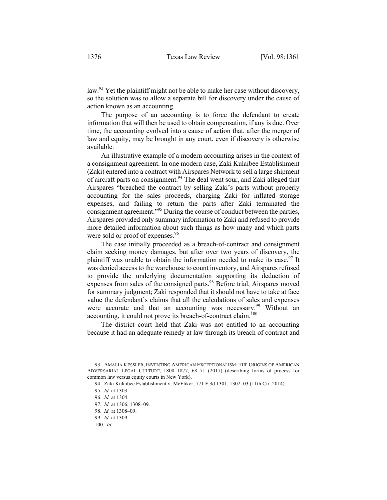law.<sup>93</sup> Yet the plaintiff might not be able to make her case without discovery, so the solution was to allow a separate bill for discovery under the cause of action known as an accounting.

The purpose of an accounting is to force the defendant to create information that will then be used to obtain compensation, if any is due. Over time, the accounting evolved into a cause of action that, after the merger of law and equity, may be brought in any court, even if discovery is otherwise available.

An illustrative example of a modern accounting arises in the context of a consignment agreement. In one modern case, Zaki Kulaibee Establishment (Zaki) entered into a contract with Airspares Network to sell a large shipment of aircraft parts on consignment.<sup>94</sup> The deal went sour, and Zaki alleged that Airspares "breached the contract by selling Zaki's parts without properly accounting for the sales proceeds, charging Zaki for inflated storage expenses, and failing to return the parts after Zaki terminated the consignment agreement."<sup>95</sup> During the course of conduct between the parties, Airspares provided only summary information to Zaki and refused to provide more detailed information about such things as how many and which parts were sold or proof of expenses.<sup>96</sup>

The case initially proceeded as a breach-of-contract and consignment claim seeking money damages, but after over two years of discovery, the plaintiff was unable to obtain the information needed to make its case.<sup>97</sup> It was denied access to the warehouse to count inventory, and Airspares refused to provide the underlying documentation supporting its deduction of expenses from sales of the consigned parts.<sup>98</sup> Before trial, Airspares moved for summary judgment; Zaki responded that it should not have to take at face value the defendant's claims that all the calculations of sales and expenses were accurate and that an accounting was necessary.<sup>99</sup> Without an accounting, it could not prove its breach-of-contract claim.<sup>100</sup>

The district court held that Zaki was not entitled to an accounting because it had an adequate remedy at law through its breach of contract and

<sup>93.</sup> AMALIA KESSLER, INVENTING AMERICAN EXCEPTIONALISM: THE ORIGINS OF AMERICAN ADVERSARIAL LEGAL CULTURE, 1800–1877, 68–71 (2017) (describing forms of process for common law versus equity courts in New York).

<sup>94.</sup> Zaki Kulaibee Establishment v. McFliker, 771 F.3d 1301, 1302–03 (11th Cir. 2014).

<sup>95.</sup> *Id.* at 1303.

<sup>96.</sup> *Id.* at 1304.

<sup>97.</sup> *Id.* at 1306, 1308–09.

<sup>98.</sup> *Id.* at 1308–09.

<sup>99.</sup> *Id.* at 1309.

<sup>100.</sup> *Id.*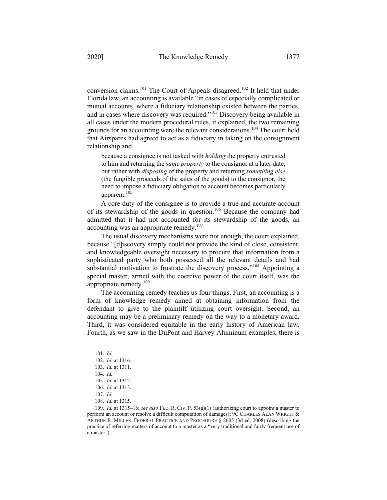conversion claims.101 The Court of Appeals disagreed.102 It held that under Florida law, an accounting is available "in cases of especially complicated or mutual accounts, where a fiduciary relationship existed between the parties, and in cases where discovery was required."<sup>103</sup> Discovery being available in all cases under the modern procedural rules, it explained, the two remaining grounds for an accounting were the relevant considerations.<sup>104</sup> The court held that Airspares had agreed to act as a fiduciary in taking on the consignment relationship and

because a consignee is not tasked with *holding* the property entrusted to him and returning the *same property* to the consignor at a later date, but rather with *disposing* of the property and returning *something else* (the fungible proceeds of the sales of the goods) to the consignor, the need to impose a fiduciary obligation to account becomes particularly apparent.<sup>105</sup>

A core duty of the consignee is to provide a true and accurate account of its stewardship of the goods in question.<sup>106</sup> Because the company had admitted that it had not accounted for its stewardship of the goods, an accounting was an appropriate remedy.<sup>107</sup>

The usual discovery mechanisms were not enough, the court explained, because "[d]iscovery simply could not provide the kind of close, consistent, and knowledgeable oversight necessary to procure that information from a sophisticated party who both possessed all the relevant details and had substantial motivation to frustrate the discovery process."<sup>108</sup> Appointing a special master, armed with the coercive power of the court itself, was the appropriate remedy. $109$ 

The accounting remedy teaches us four things. First, an accounting is a form of knowledge remedy aimed at obtaining information from the defendant to give to the plaintiff utilizing court oversight. Second, an accounting may be a preliminary remedy on the way to a monetary award. Third, it was considered equitable in the early history of American law. Fourth, as we saw in the DuPont and Harvey Aluminum examples, there is

<sup>101.</sup> *Id.*

<sup>102.</sup> *Id.* at 1316.

<sup>103.</sup> *Id.* at 1311.

<sup>104.</sup> *Id.*

<sup>105.</sup> *Id.* at 1312.

<sup>106.</sup> *Id.* at 1313.

<sup>107.</sup> *Id.*

<sup>108.</sup> *Id.* at 1315.

<sup>109.</sup> *Id.* at 1315–16; *see also* FED. R. CIV. P. 53(a)(1) (authorizing court to appoint a master to perform an account or resolve a difficult computation of damages); 9C CHARLES ALAN WRIGHT & ARTHUR R. MILLER, FEDERAL PRACTICE AND PROCEDURE § 2605 (3d ed. 2008) (describing the practice of referring matters of account to a master as a "very traditional and fairly frequent use of a master").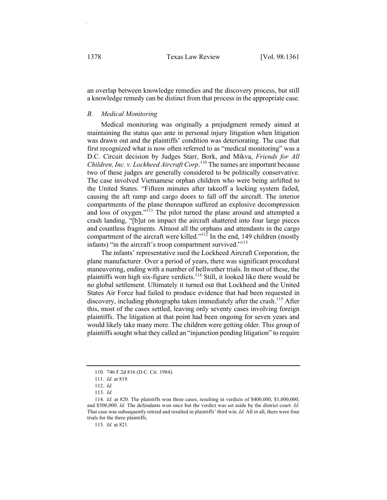an overlap between knowledge remedies and the discovery process, but still a knowledge remedy can be distinct from that process in the appropriate case.

## *B. Medical Monitoring*

Medical monitoring was originally a prejudgment remedy aimed at maintaining the status quo ante in personal injury litigation when litigation was drawn out and the plaintiffs' condition was deteriorating. The case that first recognized what is now often referred to as "medical monitoring" was a D.C. Circuit decision by Judges Starr, Bork, and Mikva, *Friends for All Children, Inc. v. Lockheed Aircraft Corp*. <sup>110</sup> The names are important because two of these judges are generally considered to be politically conservative. The case involved Vietnamese orphan children who were being airlifted to the United States. "Fifteen minutes after takeoff a locking system failed, causing the aft ramp and cargo doors to fall off the aircraft. The interior compartments of the plane thereupon suffered an explosive decompression and loss of oxygen."111 The pilot turned the plane around and attempted a crash landing, "[b]ut on impact the aircraft shattered into four large pieces and countless fragments. Almost all the orphans and attendants in the cargo compartment of the aircraft were killed."<sup>112</sup> In the end, 149 children (mostly infants) "in the aircraft's troop compartment survived."<sup>113</sup>

The infants' representative sued the Lockheed Aircraft Corporation, the plane manufacturer. Over a period of years, there was significant procedural maneuvering, ending with a number of bellwether trials. In most of these, the plaintiffs won high six-figure verdicts.<sup>114</sup> Still, it looked like there would be no global settlement. Ultimately it turned out that Lockheed and the United States Air Force had failed to produce evidence that had been requested in discovery, including photographs taken immediately after the crash.<sup>115</sup> After this, most of the cases settled, leaving only seventy cases involving foreign plaintiffs. The litigation at that point had been ongoing for seven years and would likely take many more. The children were getting older. This group of plaintiffs sought what they called an "injunction pending litigation" to require

115. *Id.* at 821.

<sup>110.</sup> 746 F.2d 816 (D.C. Cir. 1984).

<sup>111.</sup> *Id.* at 819.

<sup>112.</sup> *Id.*

<sup>113.</sup> *Id.*

<sup>114.</sup> *Id.* at 820. The plaintiffs won three cases, resulting in verdicts of \$400,000, \$1,000,000, and \$500,000. *Id.* The defendants won once but the verdict was set aside by the district court. *Id.* That case was subsequently retried and resulted in plaintiffs' third win. *Id.* All in all, there were four trials for the three plaintiffs.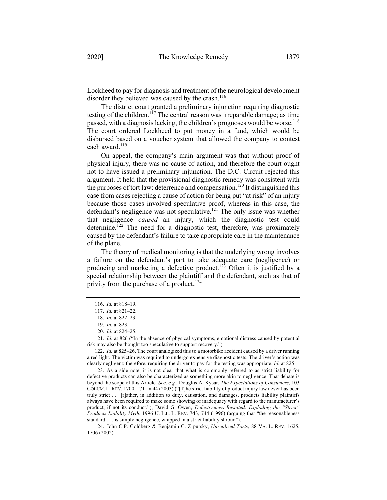Lockheed to pay for diagnosis and treatment of the neurological development disorder they believed was caused by the crash. $116$ 

The district court granted a preliminary injunction requiring diagnostic testing of the children.<sup>117</sup> The central reason was irreparable damage; as time passed, with a diagnosis lacking, the children's prognoses would be worse.<sup>118</sup> The court ordered Lockheed to put money in a fund, which would be disbursed based on a voucher system that allowed the company to contest each award.<sup>119</sup>

On appeal, the company's main argument was that without proof of physical injury, there was no cause of action, and therefore the court ought not to have issued a preliminary injunction. The D.C. Circuit rejected this argument. It held that the provisional diagnostic remedy was consistent with the purposes of tort law: deterrence and compensation.<sup>120</sup> It distinguished this case from cases rejecting a cause of action for being put "at risk" of an injury because those cases involved speculative proof, whereas in this case, the defendant's negligence was not speculative.<sup>121</sup> The only issue was whether that negligence *caused* an injury, which the diagnostic test could determine.<sup> $122$ </sup> The need for a diagnostic test, therefore, was proximately caused by the defendant's failure to take appropriate care in the maintenance of the plane.

The theory of medical monitoring is that the underlying wrong involves a failure on the defendant's part to take adequate care (negligence) or producing and marketing a defective product.<sup>123</sup> Often it is justified by a special relationship between the plaintiff and the defendant, such as that of privity from the purchase of a product.<sup>124</sup>

123. As a side note, it is not clear that what is commonly referred to as strict liability for defective products can also be characterized as something more akin to negligence. That debate is beyond the scope of this Article. *See, e.g.*, Douglas A. Kysar, *The Expectations of Consumers*, 103 COLUM. L. REV. 1700, 1711 n.44 (2003) ("[T]he strict liability of product injury law never has been truly strict . . . [r]ather, in addition to duty, causation, and damages, products liability plaintiffs always have been required to make some showing of inadequacy with regard to the manufacturer's product, if not its conduct."); David G. Owen, *Defectiveness Restated: Exploding the "Strict" Products Liability Myth*, 1996 U. ILL. L. REV. 743, 744 (1996) (arguing that "the reasonableness standard . . . is simply negligence, wrapped in a strict liability shroud").

124. John C.P. Goldberg & Benjamin C. Zipursky, *Unrealized Torts*, 88 VA. L. REV. 1625, 1706 (2002).

<sup>116.</sup> *Id.* at 818–19.

<sup>117.</sup> *Id.* at 821–22.

<sup>118.</sup> *Id.* at 822–23.

<sup>119.</sup> *Id.* at 823.

<sup>120.</sup> *Id.* at 824–25.

<sup>121.</sup> *Id.* at 826 ("In the absence of physical symptoms, emotional distress caused by potential risk may also be thought too speculative to support recovery.").

<sup>122.</sup> *Id.* at 825–26. The court analogized this to a motorbike accident caused by a driver running a red light. The victim was required to undergo expensive diagnostic tests. The driver's action was clearly negligent; therefore, requiring the driver to pay for the testing was appropriate. *Id.* at 825.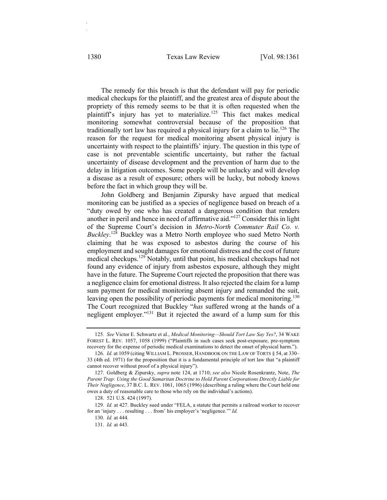The remedy for this breach is that the defendant will pay for periodic medical checkups for the plaintiff, and the greatest area of dispute about the propriety of this remedy seems to be that it is often requested when the plaintiff's injury has yet to materialize.<sup>125</sup> This fact makes medical monitoring somewhat controversial because of the proposition that traditionally tort law has required a physical injury for a claim to lie.<sup>126</sup> The reason for the request for medical monitoring absent physical injury is uncertainty with respect to the plaintiffs' injury. The question in this type of case is not preventable scientific uncertainty, but rather the factual uncertainty of disease development and the prevention of harm due to the delay in litigation outcomes. Some people will be unlucky and will develop a disease as a result of exposure; others will be lucky, but nobody knows before the fact in which group they will be.

John Goldberg and Benjamin Zipursky have argued that medical monitoring can be justified as a species of negligence based on breach of a "duty owed by one who has created a dangerous condition that renders another in peril and hence in need of affirmative aid."127 Consider this in light of the Supreme Court's decision in *Metro-North Commuter Rail Co. v. Buckley*. <sup>128</sup> Buckley was a Metro North employee who sued Metro North claiming that he was exposed to asbestos during the course of his employment and sought damages for emotional distress and the cost of future medical checkups.<sup>129</sup> Notably, until that point, his medical checkups had not found any evidence of injury from asbestos exposure, although they might have in the future. The Supreme Court rejected the proposition that there was a negligence claim for emotional distress. It also rejected the claim for a lump sum payment for medical monitoring absent injury and remanded the suit, leaving open the possibility of periodic payments for medical monitoring.<sup>130</sup> The Court recognized that Buckley "*has* suffered wrong at the hands of a negligent employer."131 But it rejected the award of a lump sum for this

129. *Id.* at 427. Buckley sued under "FELA, a statute that permits a railroad worker to recover for an 'injury . . . resulting . . . from' his employer's 'negligence.'" *Id.*

<sup>125.</sup> *See* Victor E. Schwartz et al., *Medical Monitoring—Should Tort Law Say Yes?*, 34 WAKE FOREST L. REV. 1057, 1058 (1999) ("Plaintiffs in such cases seek post-exposure, pre-symptom recovery for the expense of periodic medical examinations to detect the onset of physical harm.").

<sup>126.</sup> *Id.* at 1059 (citing WILLIAM L. PROSSER, HANDBOOK ON THE LAW OF TORTS § 54, at 330– 33 (4th ed. 1971) for the proposition that it is a fundamental principle of tort law that "a plaintiff cannot recover without proof of a physical injury").

<sup>127.</sup> Goldberg & Zipursky, *supra* note 124, at 1710; *see also* Nicole Rosenkrantz, Note, *The Parent Trap: Using the Good Samaritan Doctrine to Hold Parent Corporations Directly Liable for Their Negligence*, 37 B.C. L. REV. 1061, 1065 (1996) (describing a ruling where the Court held one owes a duty of reasonable care to those who rely on the individual's actions).

<sup>128.</sup> 521 U.S. 424 (1997).

<sup>130.</sup> *Id.* at 444.

<sup>131.</sup> *Id.* at 443.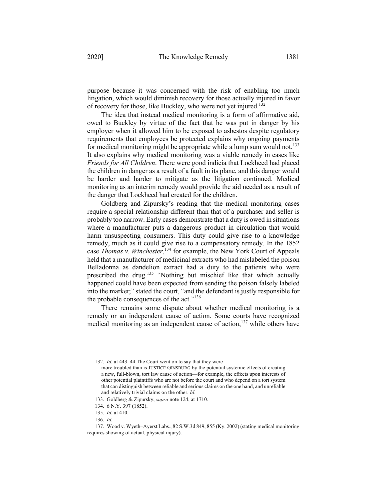purpose because it was concerned with the risk of enabling too much litigation, which would diminish recovery for those actually injured in favor of recovery for those, like Buckley, who were not yet injured.132

The idea that instead medical monitoring is a form of affirmative aid, owed to Buckley by virtue of the fact that he was put in danger by his employer when it allowed him to be exposed to asbestos despite regulatory requirements that employees be protected explains why ongoing payments for medical monitoring might be appropriate while a lump sum would not.<sup>133</sup> It also explains why medical monitoring was a viable remedy in cases like *Friends for All Children*. There were good indicia that Lockheed had placed the children in danger as a result of a fault in its plane, and this danger would be harder and harder to mitigate as the litigation continued. Medical monitoring as an interim remedy would provide the aid needed as a result of the danger that Lockheed had created for the children.

Goldberg and Zipursky's reading that the medical monitoring cases require a special relationship different than that of a purchaser and seller is probably too narrow. Early cases demonstrate that a duty is owed in situations where a manufacturer puts a dangerous product in circulation that would harm unsuspecting consumers. This duty could give rise to a knowledge remedy, much as it could give rise to a compensatory remedy. In the 1852 case *Thomas v. Winchester*, <sup>134</sup> for example, the New York Court of Appeals held that a manufacturer of medicinal extracts who had mislabeled the poison Belladonna as dandelion extract had a duty to the patients who were prescribed the drug.<sup>135</sup> "Nothing but mischief like that which actually happened could have been expected from sending the poison falsely labeled into the market;" stated the court, "and the defendant is justly responsible for the probable consequences of the act."<sup>136</sup>

There remains some dispute about whether medical monitoring is a remedy or an independent cause of action. Some courts have recognized medical monitoring as an independent cause of action, $137$  while others have

<sup>132.</sup> *Id.* at 443–44 The Court went on to say that they were

more troubled than is JUSTICE GINSBURG by the potential systemic effects of creating a new, full-blown, tort law cause of action—for example, the effects upon interests of other potential plaintiffs who are not before the court and who depend on a tort system that can distinguish between reliable and serious claims on the one hand, and unreliable and relatively trivial claims on the other. *Id.*

<sup>133.</sup> Goldberg & Zipursky, *supra* note 124, at 1710.

<sup>134.</sup> 6 N.Y. 397 (1852).

<sup>135.</sup> *Id.* at 410.

<sup>136.</sup> *Id.*

<sup>137.</sup> Wood v. Wyeth–Ayerst Labs., 82 S.W.3d 849, 855 (Ky. 2002) (stating medical monitoring requires showing of actual, physical injury).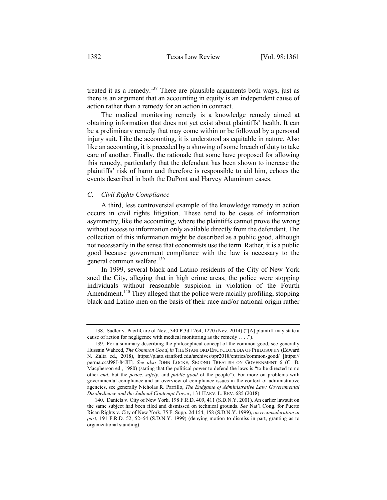treated it as a remedy.<sup>138</sup> There are plausible arguments both ways, just as there is an argument that an accounting in equity is an independent cause of action rather than a remedy for an action in contract.

The medical monitoring remedy is a knowledge remedy aimed at obtaining information that does not yet exist about plaintiffs' health. It can be a preliminary remedy that may come within or be followed by a personal injury suit. Like the accounting, it is understood as equitable in nature. Also like an accounting, it is preceded by a showing of some breach of duty to take care of another. Finally, the rationale that some have proposed for allowing this remedy, particularly that the defendant has been shown to increase the plaintiffs' risk of harm and therefore is responsible to aid him, echoes the events described in both the DuPont and Harvey Aluminum cases.

## *C. Civil Rights Compliance*

A third, less controversial example of the knowledge remedy in action occurs in civil rights litigation. These tend to be cases of information asymmetry, like the accounting, where the plaintiffs cannot prove the wrong without access to information only available directly from the defendant. The collection of this information might be described as a public good, although not necessarily in the sense that economists use the term. Rather, it is a public good because government compliance with the law is necessary to the general common welfare.<sup>139</sup>

In 1999, several black and Latino residents of the City of New York sued the City, alleging that in high crime areas, the police were stopping individuals without reasonable suspicion in violation of the Fourth Amendment.<sup>140</sup> They alleged that the police were racially profiling, stopping black and Latino men on the basis of their race and/or national origin rather

<sup>138.</sup> Sadler v. PacifiCare of Nev., 340 P.3d 1264, 1270 (Nev. 2014) ("[A] plaintiff may state a cause of action for negligence with medical monitoring as the remedy . . . .").

<sup>139.</sup> For a summary describing the philosophical concept of the common good, see generally Hussain Waheed, *The Common Good*, *in* THE STANFORD ENCYCLOPEDIA OF PHILOSOPHY (Edward N. Zalta ed., 2018), https://plato.stanford.edu/archives/spr2018/entries/common-good/ [https:// perma.cc/J98J-84JH]. *See also* JOHN LOCKE, SECOND TREATISE ON GOVERNMENT 6 (C. B. Macpherson ed., 1980) (stating that the political power to defend the laws is "to be directed to no other *end*, but the *peace*, *safety*, and *public good* of the people"). For more on problems with governmental compliance and an overview of compliance issues in the context of administrative agencies, see generally Nicholas R. Parrillo, *The Endgame of Administrative Law: Governmental Disobedience and the Judicial Contempt Power*, 131 HARV. L. REV. 685 (2018).

<sup>140.</sup> Daniels v. City of New York, 198 F.R.D. 409, 411 (S.D.N.Y. 2001). An earlier lawsuit on the same subject had been filed and dismissed on technical grounds. *See* Nat'l Cong. for Puerto Rican Rights v. City of New York, 75 F. Supp. 2d 154, 158 (S.D.N.Y. 1999), *on reconsideration in part*, 191 F.R.D. 52, 52–54 (S.D.N.Y. 1999) (denying motion to dismiss in part, granting as to organizational standing).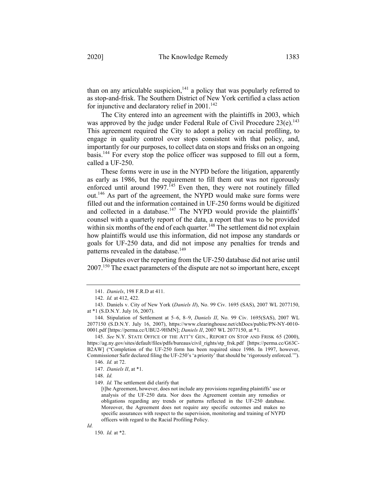than on any articulable suspicion,  $141$  a policy that was popularly referred to as stop-and-frisk. The Southern District of New York certified a class action for injunctive and declaratory relief in  $2001$ .<sup>142</sup>

The City entered into an agreement with the plaintiffs in 2003, which was approved by the judge under Federal Rule of Civil Procedure 23(e).<sup>143</sup> This agreement required the City to adopt a policy on racial profiling, to engage in quality control over stops consistent with that policy, and, importantly for our purposes, to collect data on stops and frisks on an ongoing basis.144 For every stop the police officer was supposed to fill out a form, called a UF-250.

These forms were in use in the NYPD before the litigation, apparently as early as 1986, but the requirement to fill them out was not rigorously enforced until around  $1997$ .<sup>145</sup> Even then, they were not routinely filled out.146 As part of the agreement, the NYPD would make sure forms were filled out and the information contained in UF-250 forms would be digitized and collected in a database.<sup>147</sup> The NYPD would provide the plaintiffs' counsel with a quarterly report of the data, a report that was to be provided within six months of the end of each quarter.<sup>148</sup> The settlement did not explain how plaintiffs would use this information, did not impose any standards or goals for UF-250 data, and did not impose any penalties for trends and patterns revealed in the database.<sup>149</sup>

Disputes over the reporting from the UF-250 database did not arise until 2007.<sup>150</sup> The exact parameters of the dispute are not so important here, except

150. *Id.* at \*2.

<sup>141.</sup> *Daniels*, 198 F.R.D at 411.

<sup>142.</sup> *Id.* at 412, 422.

<sup>143.</sup> Daniels v. City of New York (*Daniels II*), No. 99 Civ. 1695 (SAS), 2007 WL 2077150, at \*1 (S.D.N.Y. July 16, 2007).

<sup>144.</sup> Stipulation of Settlement at 5–6, 8–9, *Daniels II*, No. 99 Civ. 1695(SAS), 2007 WL 2077150 (S.D.N.Y. July 16, 2007), https://www.clearinghouse.net/chDocs/public/PN-NY-0010- 0001.pdf [https://perma.cc/UBU2-9HMN]; *Daniels II*, 2007 WL 2077150, at \*1.

<sup>145.</sup> *See* N.Y. STATE OFFICE OF THE ATT'Y GEN., REPORT ON STOP AND FRISK 65 (2000), https://ag.ny.gov/sites/default/files/pdfs/bureaus/civil\_rights/stp\_frsk.pdf [https://perma.cc/G63C-B2AW] ("Completion of the UF-250 form has been required since 1986. In 1997, however, Commissioner Safir declared filing the UF-250's 'a priority' that should be 'rigorously enforced.'").

<sup>146.</sup> *Id.* at 72.

<sup>147.</sup> *Daniels II*, at \*1.

<sup>148.</sup> *Id.*

<sup>149.</sup> *Id.* The settlement did clarify that

<sup>[</sup>t]he Agreement, however, does not include any provisions regarding plaintiffs' use or analysis of the UF-250 data. Nor does the Agreement contain any remedies or obligations regarding any trends or patterns reflected in the UF-250 database. Moreover, the Agreement does not require any specific outcomes and makes no specific assurances with respect to the supervision, monitoring and training of NYPD officers with regard to the Racial Profiling Policy.

*Id.*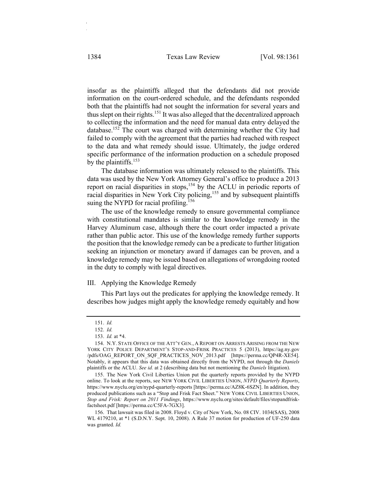insofar as the plaintiffs alleged that the defendants did not provide information on the court-ordered schedule, and the defendants responded both that the plaintiffs had not sought the information for several years and thus slept on their rights.<sup>151</sup> It was also alleged that the decentralized approach to collecting the information and the need for manual data entry delayed the database.152 The court was charged with determining whether the City had failed to comply with the agreement that the parties had reached with respect to the data and what remedy should issue. Ultimately, the judge ordered specific performance of the information production on a schedule proposed by the plaintiffs.<sup>153</sup>

The database information was ultimately released to the plaintiffs. This data was used by the New York Attorney General's office to produce a 2013 report on racial disparities in stops,  $154$  by the ACLU in periodic reports of racial disparities in New York City policing,<sup>155</sup> and by subsequent plaintiffs suing the NYPD for racial profiling.<sup>156</sup>

The use of the knowledge remedy to ensure governmental compliance with constitutional mandates is similar to the knowledge remedy in the Harvey Aluminum case, although there the court order impacted a private rather than public actor. This use of the knowledge remedy further supports the position that the knowledge remedy can be a predicate to further litigation seeking an injunction or monetary award if damages can be proven, and a knowledge remedy may be issued based on allegations of wrongdoing rooted in the duty to comply with legal directives.

#### III. Applying the Knowledge Remedy

This Part lays out the predicates for applying the knowledge remedy. It describes how judges might apply the knowledge remedy equitably and how

<sup>151.</sup> *Id.*

<sup>152.</sup> *Id.*

<sup>153.</sup> *Id.* at \*4.

<sup>154.</sup> N.Y. STATE OFFICE OF THE ATT'Y GEN., A REPORT ON ARRESTS ARISING FROM THE NEW YORK CITY POLICE DEPARTMENT'S STOP-AND-FRISK PRACTICES 5 (2013), https://ag.ny.gov /pdfs/OAG\_REPORT\_ON\_SQF\_PRACTICES\_NOV\_2013.pdf [https://perma.cc/QP4R-XE54]. Notably, it appears that this data was obtained directly from the NYPD, not through the *Daniels* plaintiffs or the ACLU. *See id.* at 2 (describing data but not mentioning the *Daniels* litigation).

<sup>155.</sup> The New York Civil Liberties Union put the quarterly reports provided by the NYPD online. To look at the reports, see NEW YORK CIVIL LIBERTIES UNION, *NYPD Quarterly Reports*, https://www.nyclu.org/en/nypd-quarterly-reports [https://perma.cc/AZ8K-6SZN]. In addition, they produced publications such as a "Stop and Frisk Fact Sheet." NEW YORK CIVIL LIBERTIES UNION, *Stop and Frisk: Report on 2011 Findings*, https://www.nyclu.org/sites/default/files/stopandfriskfactsheet.pdf [https://perma.cc/C5FA-7GX3].

<sup>156.</sup> That lawsuit was filed in 2008. Floyd v. City of New York, No. 08 CIV. 1034(SAS), 2008 WL 4179210, at \*1 (S.D.N.Y. Sept. 10, 2008). A Rule 37 motion for production of UF-250 data was granted. *Id.*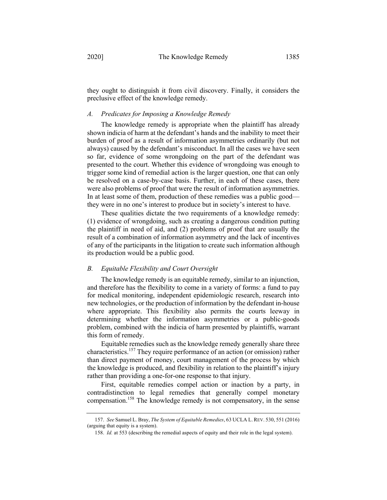they ought to distinguish it from civil discovery. Finally, it considers the preclusive effect of the knowledge remedy.

## *A. Predicates for Imposing a Knowledge Remedy*

The knowledge remedy is appropriate when the plaintiff has already shown indicia of harm at the defendant's hands and the inability to meet their burden of proof as a result of information asymmetries ordinarily (but not always) caused by the defendant's misconduct. In all the cases we have seen so far, evidence of some wrongdoing on the part of the defendant was presented to the court. Whether this evidence of wrongdoing was enough to trigger some kind of remedial action is the larger question, one that can only be resolved on a case-by-case basis. Further, in each of these cases, there were also problems of proof that were the result of information asymmetries. In at least some of them, production of these remedies was a public good they were in no one's interest to produce but in society's interest to have.

These qualities dictate the two requirements of a knowledge remedy: (1) evidence of wrongdoing, such as creating a dangerous condition putting the plaintiff in need of aid, and (2) problems of proof that are usually the result of a combination of information asymmetry and the lack of incentives of any of the participants in the litigation to create such information although its production would be a public good.

#### *B. Equitable Flexibility and Court Oversight*

The knowledge remedy is an equitable remedy, similar to an injunction, and therefore has the flexibility to come in a variety of forms: a fund to pay for medical monitoring, independent epidemiologic research, research into new technologies, or the production of information by the defendant in-house where appropriate. This flexibility also permits the courts leeway in determining whether the information asymmetries or a public-goods problem, combined with the indicia of harm presented by plaintiffs, warrant this form of remedy.

Equitable remedies such as the knowledge remedy generally share three characteristics.<sup>157</sup> They require performance of an action (or omission) rather than direct payment of money, court management of the process by which the knowledge is produced, and flexibility in relation to the plaintiff's injury rather than providing a one-for-one response to that injury.

First, equitable remedies compel action or inaction by a party, in contradistinction to legal remedies that generally compel monetary compensation.158 The knowledge remedy is not compensatory, in the sense

<sup>157.</sup> *See* Samuel L. Bray, *The System of Equitable Remedies*, 63 UCLA L.REV. 530, 551 (2016) (arguing that equity is a system).

<sup>158.</sup> *Id.* at 553 (describing the remedial aspects of equity and their role in the legal system).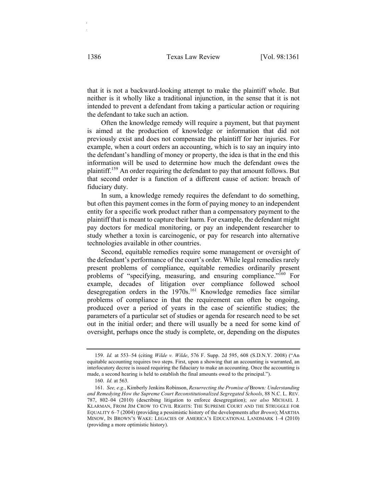that it is not a backward-looking attempt to make the plaintiff whole. But neither is it wholly like a traditional injunction, in the sense that it is not intended to prevent a defendant from taking a particular action or requiring the defendant to take such an action.

Often the knowledge remedy will require a payment, but that payment is aimed at the production of knowledge or information that did not previously exist and does not compensate the plaintiff for her injuries. For example, when a court orders an accounting, which is to say an inquiry into the defendant's handling of money or property, the idea is that in the end this information will be used to determine how much the defendant owes the plaintiff.<sup>159</sup> An order requiring the defendant to pay that amount follows. But that second order is a function of a different cause of action: breach of fiduciary duty.

In sum, a knowledge remedy requires the defendant to do something, but often this payment comes in the form of paying money to an independent entity for a specific work product rather than a compensatory payment to the plaintiff that is meant to capture their harm. For example, the defendant might pay doctors for medical monitoring, or pay an independent researcher to study whether a toxin is carcinogenic, or pay for research into alternative technologies available in other countries.

Second, equitable remedies require some management or oversight of the defendant's performance of the court's order. While legal remedies rarely present problems of compliance, equitable remedies ordinarily present problems of "specifying, measuring, and ensuring compliance."<sup>160</sup> For example, decades of litigation over compliance followed school desegregation orders in the 1970s.<sup>161</sup> Knowledge remedies face similar problems of compliance in that the requirement can often be ongoing, produced over a period of years in the case of scientific studies; the parameters of a particular set of studies or agenda for research need to be set out in the initial order; and there will usually be a need for some kind of oversight, perhaps once the study is complete, or, depending on the disputes

<sup>159.</sup> *Id.* at 553–54 (citing *Wilde v. Wilde*, 576 F. Supp. 2d 595, 608 (S.D.N.Y. 2008) ("An equitable accounting requires two steps. First, upon a showing that an accounting is warranted, an interlocutory decree is issued requiring the fiduciary to make an accounting. Once the accounting is made, a second hearing is held to establish the final amounts owed to the principal.").

<sup>160.</sup> *Id.* at 563.

<sup>161.</sup> *See, e.g.*, Kimberly Jenkins Robinson, *Resurrecting the Promise of* Brown*: Understanding and Remedying How the Supreme Court Reconstitutionalized Segregated Schools*, 88 N.C. L. REV. 787, 802–04 (2010) (describing litigation to enforce desegregation); *see also* MICHAEL J. KLARMAN, FROM JIM CROW TO CIVIL RIGHTS: THE SUPREME COURT AND THE STRUGGLE FOR EQUALITY 6–7 (2004) (providing a pessimistic history of the developments after *Brown*); MARTHA MINOW, IN BROWN'S WAKE: LEGACIES OF AMERICA'S EDUCATIONAL LANDMARK 1–4 (2010) (providing a more optimistic history).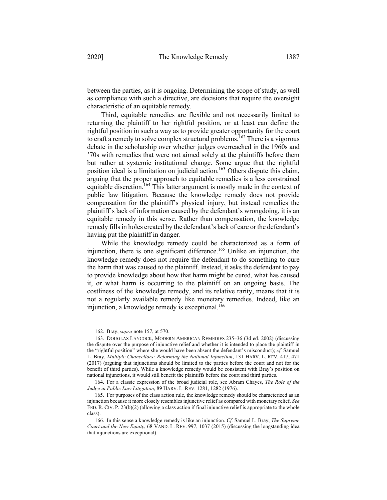between the parties, as it is ongoing. Determining the scope of study, as well as compliance with such a directive, are decisions that require the oversight characteristic of an equitable remedy.

Third, equitable remedies are flexible and not necessarily limited to returning the plaintiff to her rightful position, or at least can define the rightful position in such a way as to provide greater opportunity for the court to craft a remedy to solve complex structural problems.<sup>162</sup> There is a vigorous debate in the scholarship over whether judges overreached in the 1960s and '70s with remedies that were not aimed solely at the plaintiffs before them but rather at systemic institutional change. Some argue that the rightful position ideal is a limitation on judicial action.<sup>163</sup> Others dispute this claim, arguing that the proper approach to equitable remedies is a less constrained equitable discretion.<sup>164</sup> This latter argument is mostly made in the context of public law litigation. Because the knowledge remedy does not provide compensation for the plaintiff's physical injury, but instead remedies the plaintiff's lack of information caused by the defendant's wrongdoing, it is an equitable remedy in this sense. Rather than compensation, the knowledge remedy fills in holes created by the defendant's lack of care or the defendant's having put the plaintiff in danger.

While the knowledge remedy could be characterized as a form of injunction, there is one significant difference.<sup>165</sup> Unlike an injunction, the knowledge remedy does not require the defendant to do something to cure the harm that was caused to the plaintiff. Instead, it asks the defendant to pay to provide knowledge about how that harm might be cured, what has caused it, or what harm is occurring to the plaintiff on an ongoing basis. The costliness of the knowledge remedy, and its relative rarity, means that it is not a regularly available remedy like monetary remedies. Indeed, like an injunction, a knowledge remedy is exceptional.<sup>166</sup>

<sup>162.</sup> Bray, *supra* note 157, at 570.

<sup>163.</sup> DOUGLAS LAYCOCK, MODERN AMERICAN REMEDIES 235–36 (3d ed. 2002) (discussing the dispute over the purpose of injunctive relief and whether it is intended to place the plaintiff in the "rightful position" where she would have been absent the defendant's misconduct); *cf.* Samuel L. Bray, *Multiple Chancellors: Reforming the National Injunction*, 131 HARV. L. REV. 417, 471 (2017) (arguing that injunctions should be limited to the parties before the court and not for the benefit of third parties). While a knowledge remedy would be consistent with Bray's position on national injunctions, it would still benefit the plaintiffs before the court and third parties.

<sup>164.</sup> For a classic expression of the broad judicial role, see Abram Chayes, *The Role of the Judge in Public Law Litigation*, 89 HARV. L. REV. 1281, 1282 (1976).

<sup>165.</sup> For purposes of the class action rule, the knowledge remedy should be characterized as an injunction because it more closely resembles injunctive relief as compared with monetary relief. *See* FED. R. CIV. P. 23(b)(2) (allowing a class action if final injunctive relief is appropriate to the whole class).

<sup>166.</sup> In this sense a knowledge remedy is like an injunction. *Cf.* Samuel L. Bray, *The Supreme Court and the New Equity*, 68 VAND. L. REV. 997, 1037 (2015) (discussing the longstanding idea that injunctions are exceptional).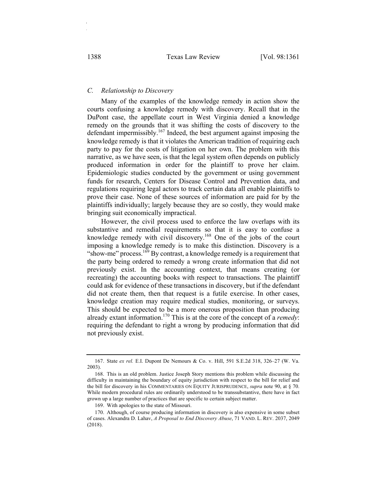## *C. Relationship to Discovery*

Many of the examples of the knowledge remedy in action show the courts confusing a knowledge remedy with discovery. Recall that in the DuPont case, the appellate court in West Virginia denied a knowledge remedy on the grounds that it was shifting the costs of discovery to the defendant impermissibly.<sup>167</sup> Indeed, the best argument against imposing the knowledge remedy is that it violates the American tradition of requiring each party to pay for the costs of litigation on her own. The problem with this narrative, as we have seen, is that the legal system often depends on publicly produced information in order for the plaintiff to prove her claim. Epidemiologic studies conducted by the government or using government funds for research, Centers for Disease Control and Prevention data, and regulations requiring legal actors to track certain data all enable plaintiffs to prove their case. None of these sources of information are paid for by the plaintiffs individually; largely because they are so costly, they would make bringing suit economically impractical.

However, the civil process used to enforce the law overlaps with its substantive and remedial requirements so that it is easy to confuse a knowledge remedy with civil discovery.<sup>168</sup> One of the jobs of the court imposing a knowledge remedy is to make this distinction. Discovery is a "show-me" process.<sup>169</sup> By contrast, a knowledge remedy is a requirement that the party being ordered to remedy a wrong create information that did not previously exist. In the accounting context, that means creating (or recreating) the accounting books with respect to transactions. The plaintiff could ask for evidence of these transactions in discovery, but if the defendant did not create them, then that request is a futile exercise. In other cases, knowledge creation may require medical studies, monitoring, or surveys. This should be expected to be a more onerous proposition than producing already extant information.170 This is at the core of the concept of a *remedy*: requiring the defendant to right a wrong by producing information that did not previously exist.

<sup>167.</sup> State *ex rel.* E.I. Dupont De Nemours & Co. v. Hill, 591 S.E.2d 318, 326–27 (W. Va. 2003).

<sup>168.</sup> This is an old problem. Justice Joseph Story mentions this problem while discussing the difficulty in maintaining the boundary of equity jurisdiction with respect to the bill for relief and the bill for discovery in his COMMENTARIES ON EQUITY JURISPRUDENCE, *supra* note 90, at § 70. While modern procedural rules are ordinarily understood to be transsubstantive, there have in fact grown up a large number of practices that are specific to certain subject matter.

<sup>169.</sup> With apologies to the state of Missouri.

<sup>170.</sup> Although, of course producing information in discovery is also expensive in some subset of cases. Alexandra D. Lahav, *A Proposal to End Discovery Abuse*, 71 VAND. L. REV. 2037, 2049 (2018).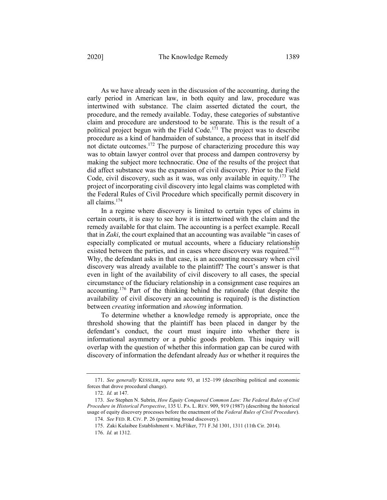As we have already seen in the discussion of the accounting, during the early period in American law, in both equity and law, procedure was intertwined with substance. The claim asserted dictated the court, the procedure, and the remedy available. Today, these categories of substantive claim and procedure are understood to be separate. This is the result of a political project begun with the Field Code.<sup>171</sup> The project was to describe procedure as a kind of handmaiden of substance, a process that in itself did not dictate outcomes.<sup>172</sup> The purpose of characterizing procedure this way was to obtain lawyer control over that process and dampen controversy by making the subject more technocratic. One of the results of the project that did affect substance was the expansion of civil discovery. Prior to the Field Code, civil discovery, such as it was, was only available in equity.<sup>173</sup> The project of incorporating civil discovery into legal claims was completed with the Federal Rules of Civil Procedure which specifically permit discovery in all claims.174

In a regime where discovery is limited to certain types of claims in certain courts, it is easy to see how it is intertwined with the claim and the remedy available for that claim. The accounting is a perfect example. Recall that in *Zaki*, the court explained that an accounting was available "in cases of especially complicated or mutual accounts, where a fiduciary relationship existed between the parties, and in cases where discovery was required."<sup>175</sup> Why, the defendant asks in that case, is an accounting necessary when civil discovery was already available to the plaintiff? The court's answer is that even in light of the availability of civil discovery to all cases, the special circumstance of the fiduciary relationship in a consignment case requires an accounting.<sup>176</sup> Part of the thinking behind the rationale (that despite the availability of civil discovery an accounting is required) is the distinction between *creating* information and *showing* information.

To determine whether a knowledge remedy is appropriate, once the threshold showing that the plaintiff has been placed in danger by the defendant's conduct, the court must inquire into whether there is informational asymmetry or a public goods problem. This inquiry will overlap with the question of whether this information gap can be cured with discovery of information the defendant already *has* or whether it requires the

<sup>171.</sup> *See generally* KESSLER, *supra* note 93, at 152–199 (describing political and economic forces that drove procedural change).

<sup>172.</sup> *Id.* at 147.

<sup>173.</sup> *See* Stephen N. Subrin, *How Equity Conquered Common Law: The Federal Rules of Civil Procedure in Historical Perspective*, 135 U. PA. L. REV. 909, 919 (1987) (describing the historical usage of equity discovery processes before the enactment of the *Federal Rules of Civil Procedure*).

<sup>174.</sup> *See* FED. R. CIV. P. 26 (permitting broad discovery).

<sup>175.</sup> Zaki Kulaibee Establishment v. McFliker, 771 F.3d 1301, 1311 (11th Cir. 2014).

<sup>176.</sup> *Id.* at 1312.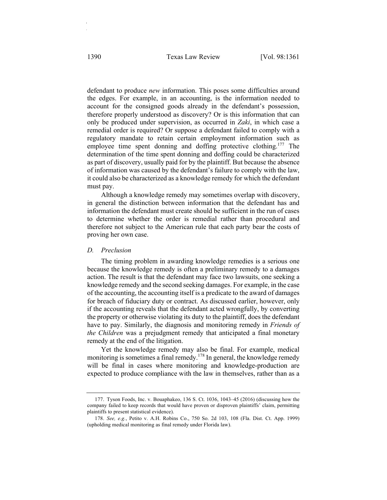defendant to produce *new* information. This poses some difficulties around the edges. For example, in an accounting, is the information needed to account for the consigned goods already in the defendant's possession, therefore properly understood as discovery? Or is this information that can only be produced under supervision, as occurred in *Zaki*, in which case a remedial order is required? Or suppose a defendant failed to comply with a regulatory mandate to retain certain employment information such as employee time spent donning and doffing protective clothing.<sup>177</sup> The determination of the time spent donning and doffing could be characterized as part of discovery, usually paid for by the plaintiff. But because the absence of information was caused by the defendant's failure to comply with the law, it could also be characterized as a knowledge remedy for which the defendant must pay.

Although a knowledge remedy may sometimes overlap with discovery, in general the distinction between information that the defendant has and information the defendant must create should be sufficient in the run of cases to determine whether the order is remedial rather than procedural and therefore not subject to the American rule that each party bear the costs of proving her own case.

#### *D. Preclusion*

The timing problem in awarding knowledge remedies is a serious one because the knowledge remedy is often a preliminary remedy to a damages action. The result is that the defendant may face two lawsuits, one seeking a knowledge remedy and the second seeking damages. For example, in the case of the accounting, the accounting itself is a predicate to the award of damages for breach of fiduciary duty or contract. As discussed earlier, however, only if the accounting reveals that the defendant acted wrongfully, by converting the property or otherwise violating its duty to the plaintiff, does the defendant have to pay. Similarly, the diagnosis and monitoring remedy in *Friends of the Children* was a prejudgment remedy that anticipated a final monetary remedy at the end of the litigation.

Yet the knowledge remedy may also be final. For example, medical monitoring is sometimes a final remedy.<sup>178</sup> In general, the knowledge remedy will be final in cases where monitoring and knowledge-production are expected to produce compliance with the law in themselves, rather than as a

<sup>177.</sup> Tyson Foods, Inc. v. Bouaphakeo, 136 S. Ct. 1036, 1043–45 (2016) (discussing how the company failed to keep records that would have proven or disproven plaintiffs' claim, permitting plaintiffs to present statistical evidence).

<sup>178.</sup> *See, e.g.*, Petito v. A.H. Robins Co., 750 So. 2d 103, 108 (Fla. Dist. Ct. App. 1999) (upholding medical monitoring as final remedy under Florida law).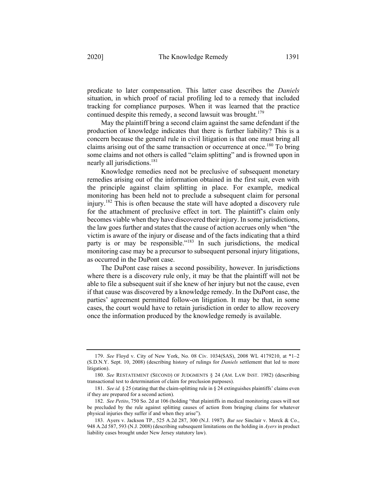predicate to later compensation. This latter case describes the *Daniels* situation, in which proof of racial profiling led to a remedy that included tracking for compliance purposes. When it was learned that the practice continued despite this remedy, a second lawsuit was brought.<sup>179</sup>

May the plaintiff bring a second claim against the same defendant if the production of knowledge indicates that there is further liability? This is a concern because the general rule in civil litigation is that one must bring all claims arising out of the same transaction or occurrence at once.<sup>180</sup> To bring some claims and not others is called "claim splitting" and is frowned upon in nearly all jurisdictions.<sup>181</sup>

Knowledge remedies need not be preclusive of subsequent monetary remedies arising out of the information obtained in the first suit, even with the principle against claim splitting in place. For example, medical monitoring has been held not to preclude a subsequent claim for personal injury.<sup>182</sup> This is often because the state will have adopted a discovery rule for the attachment of preclusive effect in tort. The plaintiff's claim only becomes viable when they have discovered their injury. In some jurisdictions, the law goes further and states that the cause of action accrues only when "the victim is aware of the injury or disease and of the facts indicating that a third party is or may be responsible."<sup>183</sup> In such jurisdictions, the medical monitoring case may be a precursor to subsequent personal injury litigations, as occurred in the DuPont case.

The DuPont case raises a second possibility, however. In jurisdictions where there is a discovery rule only, it may be that the plaintiff will not be able to file a subsequent suit if she knew of her injury but not the cause, even if that cause was discovered by a knowledge remedy. In the DuPont case, the parties' agreement permitted follow-on litigation. It may be that, in some cases, the court would have to retain jurisdiction in order to allow recovery once the information produced by the knowledge remedy is available.

<sup>179.</sup> *See* Floyd v. City of New York, No. 08 Civ. 1034(SAS), 2008 WL 4179210, at \*1–2 (S.D.N.Y. Sept. 10, 2008) (describing history of rulings for *Daniels* settlement that led to more litigation).

<sup>180.</sup> *See* RESTATEMENT (SECOND) OF JUDGMENTS § 24 (AM. LAW INST. 1982) (describing transactional test to determination of claim for preclusion purposes).

<sup>181.</sup> *See id.* § 25 (stating that the claim-splitting rule in § 24 extinguishes plaintiffs' claims even if they are prepared for a second action).

<sup>182.</sup> *See Petito*, 750 So. 2d at 106 (holding "that plaintiffs in medical monitoring cases will not be precluded by the rule against splitting causes of action from bringing claims for whatever physical injuries they suffer if and when they arise").

<sup>183.</sup> Ayers v. Jackson TP., 525 A.2d 287, 300 (N.J. 1987). *But see* Sinclair v. Merck & Co., 948 A.2d 587, 593 (N.J. 2008) (describing subsequent limitations on the holding in *Ayers* in product liability cases brought under New Jersey statutory law).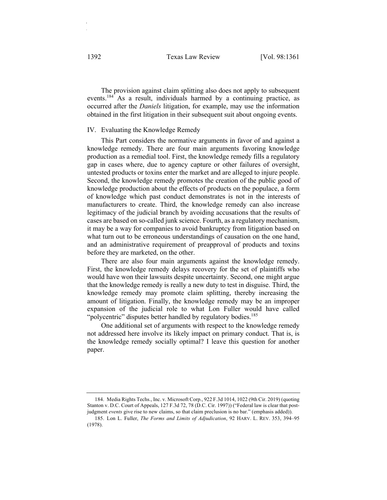The provision against claim splitting also does not apply to subsequent events.<sup>184</sup> As a result, individuals harmed by a continuing practice, as occurred after the *Daniels* litigation, for example, may use the information obtained in the first litigation in their subsequent suit about ongoing events.

#### IV. Evaluating the Knowledge Remedy

This Part considers the normative arguments in favor of and against a knowledge remedy. There are four main arguments favoring knowledge production as a remedial tool. First, the knowledge remedy fills a regulatory gap in cases where, due to agency capture or other failures of oversight, untested products or toxins enter the market and are alleged to injure people. Second, the knowledge remedy promotes the creation of the public good of knowledge production about the effects of products on the populace, a form of knowledge which past conduct demonstrates is not in the interests of manufacturers to create. Third, the knowledge remedy can also increase legitimacy of the judicial branch by avoiding accusations that the results of cases are based on so-called junk science. Fourth, as a regulatory mechanism, it may be a way for companies to avoid bankruptcy from litigation based on what turn out to be erroneous understandings of causation on the one hand, and an administrative requirement of preapproval of products and toxins before they are marketed, on the other.

There are also four main arguments against the knowledge remedy. First, the knowledge remedy delays recovery for the set of plaintiffs who would have won their lawsuits despite uncertainty. Second, one might argue that the knowledge remedy is really a new duty to test in disguise. Third, the knowledge remedy may promote claim splitting, thereby increasing the amount of litigation. Finally, the knowledge remedy may be an improper expansion of the judicial role to what Lon Fuller would have called "polycentric" disputes better handled by regulatory bodies.<sup>185</sup>

One additional set of arguments with respect to the knowledge remedy not addressed here involve its likely impact on primary conduct. That is, is the knowledge remedy socially optimal? I leave this question for another paper.

184. Media Rights Techs., Inc. v. Microsoft Corp., 922 F.3d 1014, 1022 (9th Cir. 2019) (quoting Stanton v. D.C. Court of Appeals, 127 F.3d 72, 78 (D.C. Cir. 1997)) ("Federal law is clear that postjudgment *events* give rise to new claims, so that claim preclusion is no bar." (emphasis added)).

<sup>185.</sup> Lon L. Fuller, *The Forms and Limits of Adjudication*, 92 HARV. L. REV. 353, 394–95 (1978).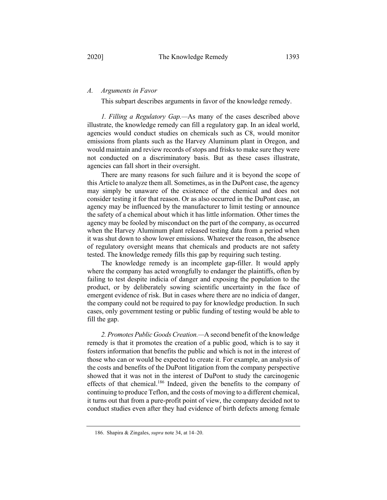## *A. Arguments in Favor*

This subpart describes arguments in favor of the knowledge remedy.

*1. Filling a Regulatory Gap.—*As many of the cases described above illustrate, the knowledge remedy can fill a regulatory gap. In an ideal world, agencies would conduct studies on chemicals such as C8, would monitor emissions from plants such as the Harvey Aluminum plant in Oregon, and would maintain and review records of stops and frisks to make sure they were not conducted on a discriminatory basis. But as these cases illustrate, agencies can fall short in their oversight.

There are many reasons for such failure and it is beyond the scope of this Article to analyze them all. Sometimes, as in the DuPont case, the agency may simply be unaware of the existence of the chemical and does not consider testing it for that reason. Or as also occurred in the DuPont case, an agency may be influenced by the manufacturer to limit testing or announce the safety of a chemical about which it has little information. Other times the agency may be fooled by misconduct on the part of the company, as occurred when the Harvey Aluminum plant released testing data from a period when it was shut down to show lower emissions. Whatever the reason, the absence of regulatory oversight means that chemicals and products are not safety tested. The knowledge remedy fills this gap by requiring such testing.

The knowledge remedy is an incomplete gap-filler. It would apply where the company has acted wrongfully to endanger the plaintiffs, often by failing to test despite indicia of danger and exposing the population to the product, or by deliberately sowing scientific uncertainty in the face of emergent evidence of risk. But in cases where there are no indicia of danger, the company could not be required to pay for knowledge production. In such cases, only government testing or public funding of testing would be able to fill the gap.

*2. Promotes Public Goods Creation.—*A second benefit of the knowledge remedy is that it promotes the creation of a public good, which is to say it fosters information that benefits the public and which is not in the interest of those who can or would be expected to create it. For example, an analysis of the costs and benefits of the DuPont litigation from the company perspective showed that it was not in the interest of DuPont to study the carcinogenic effects of that chemical.<sup>186</sup> Indeed, given the benefits to the company of continuing to produce Teflon, and the costs of moving to a different chemical, it turns out that from a pure-profit point of view, the company decided not to conduct studies even after they had evidence of birth defects among female

<sup>186.</sup> Shapira & Zingales, *supra* note 34, at 14–20.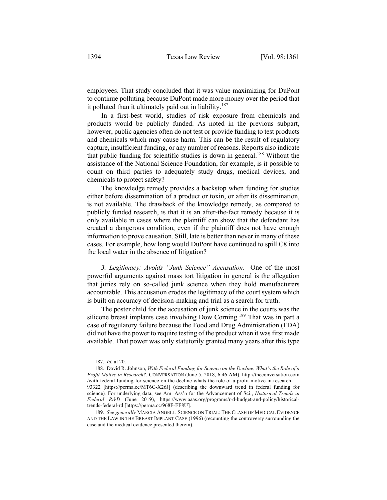employees. That study concluded that it was value maximizing for DuPont to continue polluting because DuPont made more money over the period that it polluted than it ultimately paid out in liability.<sup>187</sup>

In a first-best world, studies of risk exposure from chemicals and products would be publicly funded. As noted in the previous subpart, however, public agencies often do not test or provide funding to test products and chemicals which may cause harm. This can be the result of regulatory capture, insufficient funding, or any number of reasons. Reports also indicate that public funding for scientific studies is down in general.<sup>188</sup> Without the assistance of the National Science Foundation, for example, is it possible to count on third parties to adequately study drugs, medical devices, and chemicals to protect safety?

The knowledge remedy provides a backstop when funding for studies either before dissemination of a product or toxin, or after its dissemination, is not available. The drawback of the knowledge remedy, as compared to publicly funded research, is that it is an after-the-fact remedy because it is only available in cases where the plaintiff can show that the defendant has created a dangerous condition, even if the plaintiff does not have enough information to prove causation. Still, late is better than never in many of these cases. For example, how long would DuPont have continued to spill C8 into the local water in the absence of litigation?

*3. Legitimacy: Avoids "Junk Science" Accusation.—*One of the most powerful arguments against mass tort litigation in general is the allegation that juries rely on so-called junk science when they hold manufacturers accountable. This accusation erodes the legitimacy of the court system which is built on accuracy of decision-making and trial as a search for truth.

The poster child for the accusation of junk science in the courts was the silicone breast implants case involving Dow Corning.<sup>189</sup> That was in part a case of regulatory failure because the Food and Drug Administration (FDA) did not have the power to require testing of the product when it was first made available. That power was only statutorily granted many years after this type

trends-federal-rd [https://perma.cc/968F-EF8U].

<sup>187.</sup> *Id.* at 20.

<sup>188.</sup> David R. Johnson, *With Federal Funding for Science on the Decline*, *What's the Role of a Profit Motive in Research?*, CONVERSATION (June 5, 2018, 6:46 AM), http://theconversation.com /with-federal-funding-for-science-on-the-decline-whats-the-role-of-a-profit-motive-in-research-93322 [https://perma.cc/MT6C-X26J] (describing the downward trend in federal funding for science)*.* For underlying data, see Am. Ass'n for the Advancement of Sci., *Historical Trends in Federal R&D* (June 2019), https://www.aaas.org/programs/r-d-budget-and-policy/historical-

<sup>189.</sup> *See generally* MARCIA ANGELL, SCIENCE ON TRIAL: THE CLASH OF MEDICAL EVIDENCE AND THE LAW IN THE BREAST IMPLANT CASE (1996) (recounting the controversy surrounding the case and the medical evidence presented therein).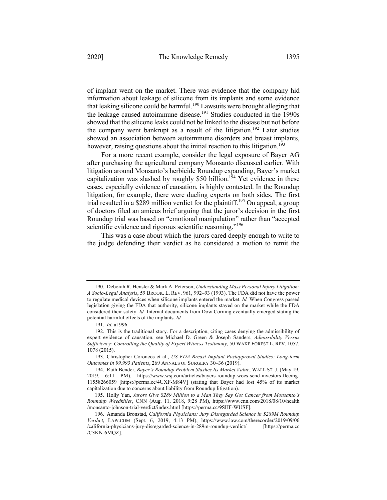of implant went on the market. There was evidence that the company hid information about leakage of silicone from its implants and some evidence that leaking silicone could be harmful.<sup>190</sup> Lawsuits were brought alleging that the leakage caused autoimmune disease.<sup>191</sup> Studies conducted in the 1990s showed that the silicone leaks could not be linked to the disease but not before the company went bankrupt as a result of the litigation.<sup>192</sup> Later studies showed an association between autoimmune disorders and breast implants, however, raising questions about the initial reaction to this litigation.<sup>193</sup>

For a more recent example, consider the legal exposure of Bayer AG after purchasing the agricultural company Monsanto discussed earlier. With litigation around Monsanto's herbicide Roundup expanding, Bayer's market capitalization was slashed by roughly \$50 billion.<sup>194</sup> Yet evidence in these cases, especially evidence of causation, is highly contested. In the Roundup litigation, for example, there were dueling experts on both sides. The first trial resulted in a  $\frac{$289}{$289}$  million verdict for the plaintiff.<sup>195</sup> On appeal, a group of doctors filed an amicus brief arguing that the juror's decision in the first Roundup trial was based on "emotional manipulation" rather than "accepted scientific evidence and rigorous scientific reasoning."<sup>196</sup>

This was a case about which the jurors cared deeply enough to write to the judge defending their verdict as he considered a motion to remit the

<sup>190.</sup> Deborah R. Hensler & Mark A. Peterson, *Understanding Mass Personal Injury Litigation: A Socio-Legal Analysis*, 59 BROOK. L. REV. 961, 992–93 (1993). The FDA did not have the power to regulate medical devices when silicone implants entered the market. *Id.* When Congress passed legislation giving the FDA that authority, silicone implants stayed on the market while the FDA considered their safety. *Id.* Internal documents from Dow Corning eventually emerged stating the potential harmful effects of the implants. *Id.*

<sup>191.</sup> *Id.* at 996.

<sup>192.</sup> This is the traditional story. For a description, citing cases denying the admissibility of expert evidence of causation, see Michael D. Green & Joseph Sanders, *Admissibility Versus Sufficiency: Controlling the Quality of Expert Witness Testimony*, 50 WAKE FOREST L. REV. 1057, 1078 (2015).

<sup>193.</sup> Christopher Coroneos et al., *US FDA Breast Implant Postapproval Studies: Long-term Outcomes in 99,993 Patients*, 269 ANNALS OF SURGERY 30–36 (2019).

<sup>194.</sup> Ruth Bender, *Bayer's Roundup Problem Slashes Its Market Value*, WALL ST. J. (May 19, 2019, 6:11 PM), https://www.wsj.com/articles/bayers-roundup-woes-send-investors-fleeing-11558266059 [https://perma.cc/4UXF-M84V] (stating that Bayer had lost 45% of its market capitalization due to concerns about liability from Roundup litigation).

<sup>195.</sup> Holly Yan, *Jurors Give \$289 Million to a Man They Say Got Cancer from Monsanto's Roundup Weedkiller*, CNN (Aug. 11, 2018, 9:28 PM), https://www.cnn.com/2018/08/10/health /monsanto-johnson-trial-verdict/index.html [https://perma.cc/9SHF-WUSF].

<sup>196.</sup> Amanda Bronstad, *California Physicians: Jury Disregarded Science in \$289M Roundup Verdict*, LAW.COM (Sept. 6, 2019, 4:13 PM), https://www.law.com/therecorder/2019/09/06 /california-physicians-jury-disregarded-science-in-289m-roundup-verdict/ [https://perma.cc /C3KN-6MQZ].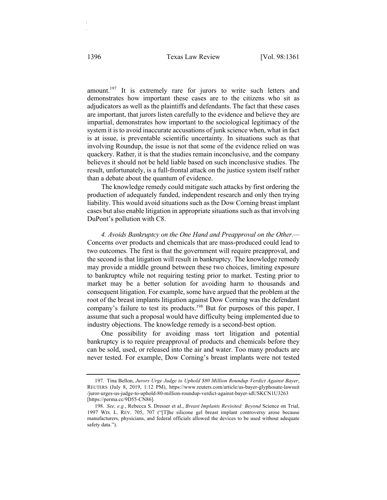amount.<sup>197</sup> It is extremely rare for jurors to write such letters and demonstrates how important these cases are to the citizens who sit as adjudicators as well as the plaintiffs and defendants. The fact that these cases are important, that jurors listen carefully to the evidence and believe they are impartial, demonstrates how important to the sociological legitimacy of the system it is to avoid inaccurate accusations of junk science when, what in fact is at issue, is preventable scientific uncertainty. In situations such as that involving Roundup, the issue is not that some of the evidence relied on was quackery. Rather, it is that the studies remain inconclusive, and the company believes it should not be held liable based on such inconclusive studies. The result, unfortunately, is a full-frontal attack on the justice system itself rather than a debate about the quantum of evidence.

The knowledge remedy could mitigate such attacks by first ordering the production of adequately funded, independent research and only then trying liability. This would avoid situations such as the Dow Corning breast implant cases but also enable litigation in appropriate situations such as that involving DuPont's pollution with C8.

*4. Avoids Bankruptcy on the One Hand and Preapproval on the Other.—* Concerns over products and chemicals that are mass-produced could lead to two outcomes. The first is that the government will require preapproval, and the second is that litigation will result in bankruptcy. The knowledge remedy may provide a middle ground between these two choices, limiting exposure to bankruptcy while not requiring testing prior to market. Testing prior to market may be a better solution for avoiding harm to thousands and consequent litigation. For example, some have argued that the problem at the root of the breast implants litigation against Dow Corning was the defendant company's failure to test its products.<sup>198</sup> But for purposes of this paper, I assume that such a proposal would have difficulty being implemented due to industry objections. The knowledge remedy is a second-best option.

One possibility for avoiding mass tort litigation and potential bankruptcy is to require preapproval of products and chemicals before they can be sold, used, or released into the air and water. Too many products are never tested. For example, Dow Corning's breast implants were not tested

<sup>197.</sup> Tina Bellon, *Jurors Urge Judge to Uphold \$80 Million Roundup Verdict Against Bayer*, REUTERS (July 8, 2019, 1:12 PM), https://www.reuters.com/article/us-bayer-glyphosate-lawsuit /juror-urges-us-judge-to-uphold-80-million-roundup-verdict-against-bayer-idUSKCN1U3263 [https://perma.cc/9D55-CN86].

<sup>198.</sup> *See, e.g.*, Rebecca S. Dresser et al., *Breast Implants Revisited: Beyond* Science on Trial, 1997 WIS. L. REV. 705, 707 ("[T]he silicone gel breast implant controversy arose because manufacturers, physicians, and federal officials allowed the devices to be used without adequate safety data.").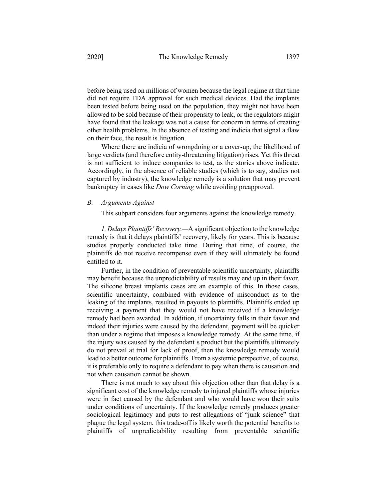before being used on millions of women because the legal regime at that time did not require FDA approval for such medical devices. Had the implants been tested before being used on the population, they might not have been allowed to be sold because of their propensity to leak, or the regulators might have found that the leakage was not a cause for concern in terms of creating other health problems. In the absence of testing and indicia that signal a flaw on their face, the result is litigation.

Where there are indicia of wrongdoing or a cover-up, the likelihood of large verdicts (and therefore entity-threatening litigation) rises. Yet this threat is not sufficient to induce companies to test, as the stories above indicate. Accordingly, in the absence of reliable studies (which is to say, studies not captured by industry), the knowledge remedy is a solution that may prevent bankruptcy in cases like *Dow Corning* while avoiding preapproval.

#### *B. Arguments Against*

This subpart considers four arguments against the knowledge remedy.

*1. Delays Plaintiffs' Recovery.—*A significant objection to the knowledge remedy is that it delays plaintiffs' recovery, likely for years. This is because studies properly conducted take time. During that time, of course, the plaintiffs do not receive recompense even if they will ultimately be found entitled to it.

Further, in the condition of preventable scientific uncertainty, plaintiffs may benefit because the unpredictability of results may end up in their favor. The silicone breast implants cases are an example of this. In those cases, scientific uncertainty, combined with evidence of misconduct as to the leaking of the implants, resulted in payouts to plaintiffs. Plaintiffs ended up receiving a payment that they would not have received if a knowledge remedy had been awarded. In addition, if uncertainty falls in their favor and indeed their injuries were caused by the defendant, payment will be quicker than under a regime that imposes a knowledge remedy. At the same time, if the injury was caused by the defendant's product but the plaintiffs ultimately do not prevail at trial for lack of proof, then the knowledge remedy would lead to a better outcome for plaintiffs. From a systemic perspective, of course, it is preferable only to require a defendant to pay when there is causation and not when causation cannot be shown.

There is not much to say about this objection other than that delay is a significant cost of the knowledge remedy to injured plaintiffs whose injuries were in fact caused by the defendant and who would have won their suits under conditions of uncertainty. If the knowledge remedy produces greater sociological legitimacy and puts to rest allegations of "junk science" that plague the legal system, this trade-off is likely worth the potential benefits to plaintiffs of unpredictability resulting from preventable scientific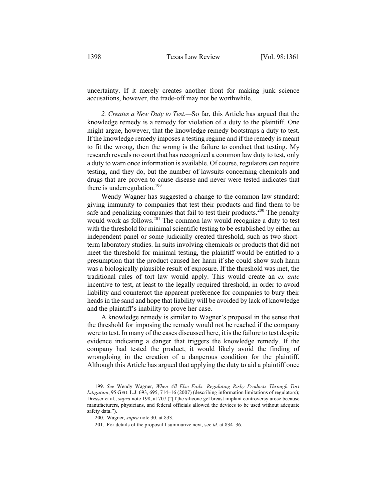uncertainty. If it merely creates another front for making junk science accusations, however, the trade-off may not be worthwhile.

*2. Creates a New Duty to Test.—*So far, this Article has argued that the knowledge remedy is a remedy for violation of a duty to the plaintiff. One might argue, however, that the knowledge remedy bootstraps a duty to test. If the knowledge remedy imposes a testing regime and if the remedy is meant to fit the wrong, then the wrong is the failure to conduct that testing. My research reveals no court that has recognized a common law duty to test, only a duty to warn once information is available. Of course, regulators can require testing, and they do, but the number of lawsuits concerning chemicals and drugs that are proven to cause disease and never were tested indicates that there is underregulation.<sup>199</sup>

Wendy Wagner has suggested a change to the common law standard: giving immunity to companies that test their products and find them to be safe and penalizing companies that fail to test their products.<sup>200</sup> The penalty would work as follows.<sup>201</sup> The common law would recognize a duty to test with the threshold for minimal scientific testing to be established by either an independent panel or some judicially created threshold, such as two shortterm laboratory studies. In suits involving chemicals or products that did not meet the threshold for minimal testing, the plaintiff would be entitled to a presumption that the product caused her harm if she could show such harm was a biologically plausible result of exposure. If the threshold was met, the traditional rules of tort law would apply. This would create an *ex ante* incentive to test, at least to the legally required threshold, in order to avoid liability and counteract the apparent preference for companies to bury their heads in the sand and hope that liability will be avoided by lack of knowledge and the plaintiff's inability to prove her case.

A knowledge remedy is similar to Wagner's proposal in the sense that the threshold for imposing the remedy would not be reached if the company were to test. In many of the cases discussed here, it is the failure to test despite evidence indicating a danger that triggers the knowledge remedy. If the company had tested the product, it would likely avoid the finding of wrongdoing in the creation of a dangerous condition for the plaintiff. Although this Article has argued that applying the duty to aid a plaintiff once

<sup>199.</sup> *See* Wendy Wagner, *When All Else Fails: Regulating Risky Products Through Tort Litigation*, 95 GEO. L.J. 693, 695, 714–16 (2007) (describing information limitations of regulators); Dresser et al., *supra* note 198, at 707 ("[T]he silicone gel breast implant controversy arose because manufacturers, physicians, and federal officials allowed the devices to be used without adequate safety data.").

<sup>200.</sup> Wagner, *supra* note 30, at 833.

<sup>201.</sup> For details of the proposal I summarize next, see *id.* at 834–36.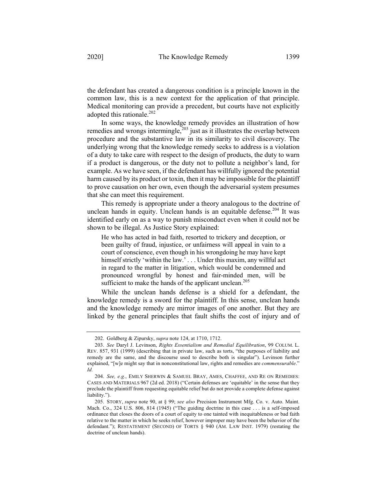the defendant has created a dangerous condition is a principle known in the common law, this is a new context for the application of that principle. Medical monitoring can provide a precedent, but courts have not explicitly adopted this rationale.<sup>202</sup>

In some ways, the knowledge remedy provides an illustration of how remedies and wrongs intermingle, $2^{03}$  just as it illustrates the overlap between procedure and the substantive law in its similarity to civil discovery. The underlying wrong that the knowledge remedy seeks to address is a violation of a duty to take care with respect to the design of products, the duty to warn if a product is dangerous, or the duty not to pollute a neighbor's land, for example. As we have seen, if the defendant has willfully ignored the potential harm caused by its product or toxin, then it may be impossible for the plaintiff to prove causation on her own, even though the adversarial system presumes that she can meet this requirement.

This remedy is appropriate under a theory analogous to the doctrine of unclean hands in equity. Unclean hands is an equitable defense.<sup>204</sup> It was identified early on as a way to punish misconduct even when it could not be shown to be illegal. As Justice Story explained:

He who has acted in bad faith, resorted to trickery and deception, or been guilty of fraud, injustice, or unfairness will appeal in vain to a court of conscience, even though in his wrongdoing he may have kept himself strictly 'within the law.' . . . Under this maxim, any willful act in regard to the matter in litigation, which would be condemned and pronounced wrongful by honest and fair-minded men, will be sufficient to make the hands of the applicant unclean.<sup>205</sup>

While the unclean hands defense is a shield for a defendant, the knowledge remedy is a sword for the plaintiff. In this sense, unclean hands and the knowledge remedy are mirror images of one another. But they are linked by the general principles that fault shifts the cost of injury and of

<sup>202.</sup> Goldberg & Zipursky, *supra* note 124, at 1710, 1712.

<sup>203.</sup> *See* Daryl J. Levinson, *Rights Essentialism and Remedial Equilibration*, 99 COLUM. L. REV. 857, 931 (1999) (describing that in private law, such as torts, "the purposes of liability and remedy are the same, and the discourse used to describe both is singular"). Levinson further explained, "[w]e might say that in nonconstitutional law, rights and remedies are *commensurable*." *Id.*

<sup>204.</sup> *See, e.g.*, EMILY SHERWIN & SAMUEL BRAY, AMES, CHAFFEE, AND RE ON REMEDIES: CASES AND MATERIALS 967 (2d ed. 2018) ("Certain defenses are 'equitable' in the sense that they preclude the plaintiff from requesting equitable relief but do not provide a complete defense against liability.").

<sup>205.</sup> STORY, *supra* note 90, at § 99; *see also* Precision Instrument Mfg. Co. v. Auto. Maint. Mach. Co., 324 U.S. 806, 814 (1945) ("The guiding doctrine in this case . . . is a self-imposed ordinance that closes the doors of a court of equity to one tainted with inequitableness or bad faith relative to the matter in which he seeks relief, however improper may have been the behavior of the defendant."); RESTATEMENT (SECOND) OF TORTS § 940 (AM. LAW INST. 1979) (restating the doctrine of unclean hands).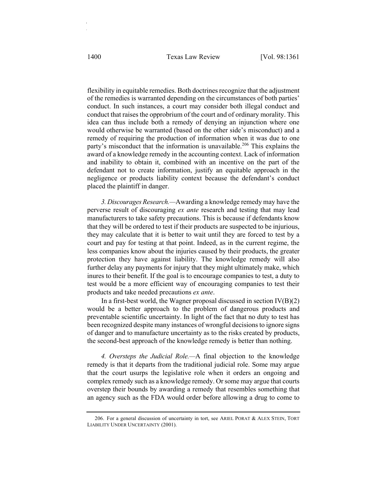flexibility in equitable remedies. Both doctrines recognize that the adjustment of the remedies is warranted depending on the circumstances of both parties' conduct. In such instances, a court may consider both illegal conduct and conduct that raises the opprobrium of the court and of ordinary morality. This idea can thus include both a remedy of denying an injunction where one would otherwise be warranted (based on the other side's misconduct) and a remedy of requiring the production of information when it was due to one party's misconduct that the information is unavailable.<sup>206</sup> This explains the award of a knowledge remedy in the accounting context. Lack of information and inability to obtain it, combined with an incentive on the part of the defendant not to create information, justify an equitable approach in the negligence or products liability context because the defendant's conduct placed the plaintiff in danger.

*3. Discourages Research.—*Awarding a knowledge remedy may have the perverse result of discouraging *ex ante* research and testing that may lead manufacturers to take safety precautions. This is because if defendants know that they will be ordered to test if their products are suspected to be injurious, they may calculate that it is better to wait until they are forced to test by a court and pay for testing at that point. Indeed, as in the current regime, the less companies know about the injuries caused by their products, the greater protection they have against liability. The knowledge remedy will also further delay any payments for injury that they might ultimately make, which inures to their benefit. If the goal is to encourage companies to test, a duty to test would be a more efficient way of encouraging companies to test their products and take needed precautions *ex ante*.

In a first-best world, the Wagner proposal discussed in section  $IV(B)(2)$ would be a better approach to the problem of dangerous products and preventable scientific uncertainty. In light of the fact that no duty to test has been recognized despite many instances of wrongful decisions to ignore signs of danger and to manufacture uncertainty as to the risks created by products, the second-best approach of the knowledge remedy is better than nothing.

*4. Oversteps the Judicial Role.—*A final objection to the knowledge remedy is that it departs from the traditional judicial role. Some may argue that the court usurps the legislative role when it orders an ongoing and complex remedy such as a knowledge remedy. Or some may argue that courts overstep their bounds by awarding a remedy that resembles something that an agency such as the FDA would order before allowing a drug to come to

<sup>206.</sup> For a general discussion of uncertainty in tort, see ARIEL PORAT & ALEX STEIN, TORT LIABILITY UNDER UNCERTAINTY (2001).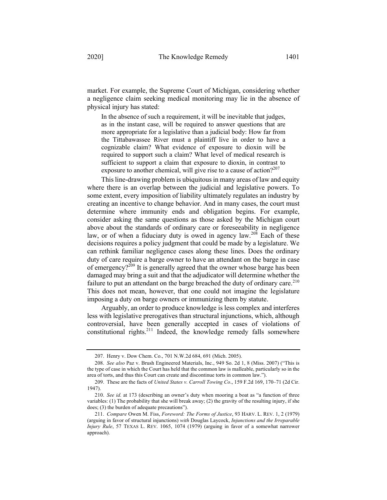market. For example, the Supreme Court of Michigan, considering whether a negligence claim seeking medical monitoring may lie in the absence of physical injury has stated:

In the absence of such a requirement, it will be inevitable that judges, as in the instant case, will be required to answer questions that are more appropriate for a legislative than a judicial body: How far from the Tittabawassee River must a plaintiff live in order to have a cognizable claim? What evidence of exposure to dioxin will be required to support such a claim? What level of medical research is sufficient to support a claim that exposure to dioxin, in contrast to exposure to another chemical, will give rise to a cause of action? $2^{207}$ 

This line-drawing problem is ubiquitous in many areas of law and equity where there is an overlap between the judicial and legislative powers. To some extent, every imposition of liability ultimately regulates an industry by creating an incentive to change behavior. And in many cases, the court must determine where immunity ends and obligation begins. For example, consider asking the same questions as those asked by the Michigan court above about the standards of ordinary care or foreseeability in negligence law, or of when a fiduciary duty is owed in agency law.<sup>208</sup> Each of these decisions requires a policy judgment that could be made by a legislature. We can rethink familiar negligence cases along these lines. Does the ordinary duty of care require a barge owner to have an attendant on the barge in case of emergency?<sup>209</sup> It is generally agreed that the owner whose barge has been damaged may bring a suit and that the adjudicator will determine whether the failure to put an attendant on the barge breached the duty of ordinary care.<sup>210</sup> This does not mean, however, that one could not imagine the legislature imposing a duty on barge owners or immunizing them by statute.

Arguably, an order to produce knowledge is less complex and interferes less with legislative prerogatives than structural injunctions, which, although controversial, have been generally accepted in cases of violations of constitutional rights.<sup>211</sup> Indeed, the knowledge remedy falls somewhere

<sup>207.</sup> Henry v. Dow Chem. Co., 701 N.W.2d 684, 691 (Mich. 2005).

<sup>208.</sup> *See also* Paz v. Brush Engineered Materials, Inc., 949 So. 2d 1, 8 (Miss. 2007) ("This is the type of case in which the Court has held that the common law is malleable, particularly so in the area of torts, and thus this Court can create and discontinue torts in common law.").

<sup>209.</sup> These are the facts of *United States v. Carroll Towing Co*., 159 F.2d 169, 170–71 (2d Cir. 1947).

<sup>210.</sup> *See id.* at 173 (describing an owner's duty when mooring a boat as "a function of three variables: (1) The probability that she will break away; (2) the gravity of the resulting injury, if she does; (3) the burden of adequate precautions").

<sup>211.</sup> *Compare* Owen M. Fiss, *Foreword: The Forms of Justice*, 93 HARV. L. REV. 1, 2 (1979) (arguing in favor of structural injunctions) *with* Douglas Laycock, *Injunctions and the Irreparable Injury Rule*, 57 TEXAS L. REV. 1065, 1074 (1979) (arguing in favor of a somewhat narrower approach).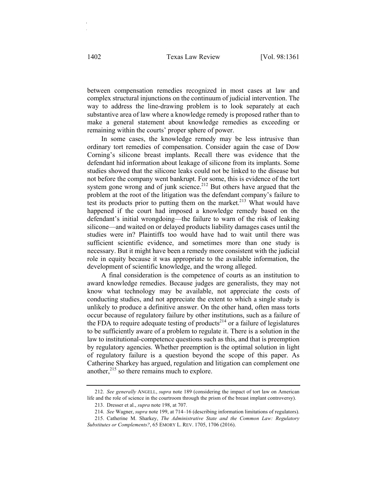between compensation remedies recognized in most cases at law and complex structural injunctions on the continuum of judicial intervention. The way to address the line-drawing problem is to look separately at each substantive area of law where a knowledge remedy is proposed rather than to make a general statement about knowledge remedies as exceeding or remaining within the courts' proper sphere of power.

In some cases, the knowledge remedy may be less intrusive than ordinary tort remedies of compensation. Consider again the case of Dow Corning's silicone breast implants. Recall there was evidence that the defendant hid information about leakage of silicone from its implants. Some studies showed that the silicone leaks could not be linked to the disease but not before the company went bankrupt. For some, this is evidence of the tort system gone wrong and of junk science.<sup>212</sup> But others have argued that the problem at the root of the litigation was the defendant company's failure to test its products prior to putting them on the market.<sup>213</sup> What would have happened if the court had imposed a knowledge remedy based on the defendant's initial wrongdoing—the failure to warn of the risk of leaking silicone—and waited on or delayed products liability damages cases until the studies were in? Plaintiffs too would have had to wait until there was sufficient scientific evidence, and sometimes more than one study is necessary. But it might have been a remedy more consistent with the judicial role in equity because it was appropriate to the available information, the development of scientific knowledge, and the wrong alleged.

A final consideration is the competence of courts as an institution to award knowledge remedies. Because judges are generalists, they may not know what technology may be available, not appreciate the costs of conducting studies, and not appreciate the extent to which a single study is unlikely to produce a definitive answer. On the other hand, often mass torts occur because of regulatory failure by other institutions, such as a failure of the FDA to require adequate testing of products<sup>214</sup> or a failure of legislatures to be sufficiently aware of a problem to regulate it. There is a solution in the law to institutional-competence questions such as this, and that is preemption by regulatory agencies. Whether preemption is the optimal solution in light of regulatory failure is a question beyond the scope of this paper. As Catherine Sharkey has argued, regulation and litigation can complement one another, $^{215}$  so there remains much to explore.

<sup>212.</sup> *See generally* ANGELL, *supra* note 189 (considering the impact of tort law on American life and the role of science in the courtroom through the prism of the breast implant controversy).

<sup>213.</sup> Dresser et al., *supra* note 198, at 707.

<sup>214.</sup> *See* Wagner, *supra* note 199, at 714–16 (describing information limitations of regulators).

<sup>215.</sup> Catherine M. Sharkey, *The Administrative State and the Common Law: Regulatory Substitutes or Complements?*, 65 EMORY L. REV. 1705, 1706 (2016).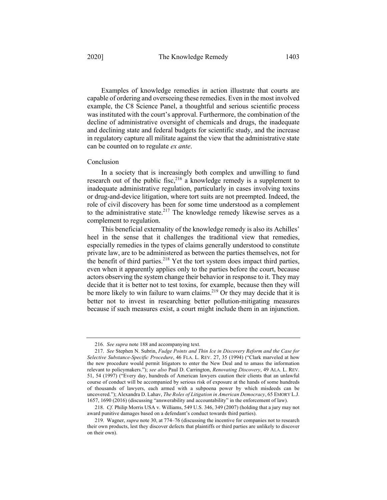Examples of knowledge remedies in action illustrate that courts are capable of ordering and overseeing these remedies. Even in the most involved example, the C8 Science Panel, a thoughtful and serious scientific process was instituted with the court's approval. Furthermore, the combination of the decline of administrative oversight of chemicals and drugs, the inadequate and declining state and federal budgets for scientific study, and the increase in regulatory capture all militate against the view that the administrative state can be counted on to regulate *ex ante*.

#### Conclusion

In a society that is increasingly both complex and unwilling to fund research out of the public fisc,  $2^{16}$  a knowledge remedy is a supplement to inadequate administrative regulation, particularly in cases involving toxins or drug-and-device litigation, where tort suits are not preempted. Indeed, the role of civil discovery has been for some time understood as a complement to the administrative state. $217$  The knowledge remedy likewise serves as a complement to regulation.

This beneficial externality of the knowledge remedy is also its Achilles' heel in the sense that it challenges the traditional view that remedies, especially remedies in the types of claims generally understood to constitute private law, are to be administered as between the parties themselves, not for the benefit of third parties.<sup>218</sup> Yet the tort system does impact third parties, even when it apparently applies only to the parties before the court, because actors observing the system change their behavior in response to it. They may decide that it is better not to test toxins, for example, because then they will be more likely to win failure to warn claims.<sup>219</sup> Or they may decide that it is better not to invest in researching better pollution-mitigating measures because if such measures exist, a court might include them in an injunction.

<sup>216.</sup> *See supra* note 188 and accompanying text.

<sup>217.</sup> *See* Stephen N. Subrin, *Fudge Points and Thin Ice in Discovery Reform and the Case for Selective Substance-Specific Procedure*, 46 FLA. L. REV. 27, 35 (1994) ("Clark marveled at how the new procedure would permit litigators to enter the New Deal and to amass the information relevant to policymakers."); *see also* Paul D. Carrington, *Renovating Discovery*, 49 ALA. L. REV. 51, 54 (1997) ("Every day, hundreds of American lawyers caution their clients that an unlawful course of conduct will be accompanied by serious risk of exposure at the hands of some hundreds of thousands of lawyers, each armed with a subpoena power by which misdeeds can be uncovered."); Alexandra D. Lahav, *The Roles of Litigation in American Democracy*, 65 EMORY L.J. 1657, 1690 (2016) (discussing "answerability and accountability" in the enforcement of law).

<sup>218.</sup> *Cf.* Philip Morris USA v. Williams, 549 U.S. 346, 349 (2007) (holding that a jury may not award punitive damages based on a defendant's conduct towards third parties).

<sup>219.</sup> Wagner, *supra* note 30, at 774–76 (discussing the incentive for companies not to research their own products, lest they discover defects that plaintiffs or third parties are unlikely to discover on their own).